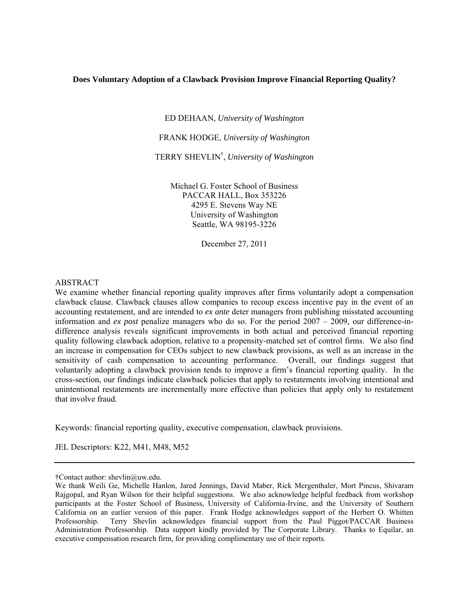## **Does Voluntary Adoption of a Clawback Provision Improve Financial Reporting Quality?**

ED DEHAAN, *University of Washington* 

FRANK HODGE, *University of Washington* 

TERRY SHEVLIN† , *University of Washington* 

Michael G. Foster School of Business PACCAR HALL, Box 353226 4295 E. Stevens Way NE University of Washington Seattle, WA 98195-3226

December 27, 2011

## ABSTRACT

We examine whether financial reporting quality improves after firms voluntarily adopt a compensation clawback clause. Clawback clauses allow companies to recoup excess incentive pay in the event of an accounting restatement, and are intended to *ex ante* deter managers from publishing misstated accounting information and *ex post* penalize managers who do so. For the period 2007 – 2009, our difference-indifference analysis reveals significant improvements in both actual and perceived financial reporting quality following clawback adoption, relative to a propensity-matched set of control firms. We also find an increase in compensation for CEOs subject to new clawback provisions, as well as an increase in the sensitivity of cash compensation to accounting performance. Overall, our findings suggest that voluntarily adopting a clawback provision tends to improve a firm's financial reporting quality. In the cross-section, our findings indicate clawback policies that apply to restatements involving intentional and unintentional restatements are incrementally more effective than policies that apply only to restatement that involve fraud.

Keywords: financial reporting quality, executive compensation, clawback provisions.

JEL Descriptors: K22, M41, M48, M52

<sup>†</sup>Contact author: shevlin@uw.edu.

We thank Weili Ge, Michelle Hanlon, Jared Jennings, David Maber, Rick Mergenthaler, Mort Pincus, Shivaram Rajgopal, and Ryan Wilson for their helpful suggestions. We also acknowledge helpful feedback from workshop participants at the Foster School of Business, University of California-Irvine, and the University of Southern California on an earlier version of this paper. Frank Hodge acknowledges support of the Herbert O. Whitten Professorship. Terry Shevlin acknowledges financial support from the Paul Piggot/PACCAR Business Administration Professorship. Data support kindly provided by The Corporate Library. Thanks to Equilar, an executive compensation research firm, for providing complimentary use of their reports.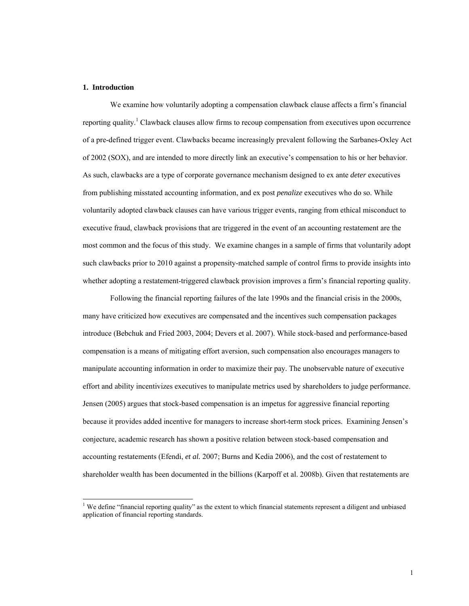#### **1. Introduction**

l

We examine how voluntarily adopting a compensation clawback clause affects a firm's financial reporting quality.<sup>1</sup> Clawback clauses allow firms to recoup compensation from executives upon occurrence of a pre-defined trigger event. Clawbacks became increasingly prevalent following the Sarbanes-Oxley Act of 2002 (SOX), and are intended to more directly link an executive's compensation to his or her behavior. As such, clawbacks are a type of corporate governance mechanism designed to ex ante *deter* executives from publishing misstated accounting information, and ex post *penalize* executives who do so. While voluntarily adopted clawback clauses can have various trigger events, ranging from ethical misconduct to executive fraud, clawback provisions that are triggered in the event of an accounting restatement are the most common and the focus of this study. We examine changes in a sample of firms that voluntarily adopt such clawbacks prior to 2010 against a propensity-matched sample of control firms to provide insights into whether adopting a restatement-triggered clawback provision improves a firm's financial reporting quality.

Following the financial reporting failures of the late 1990s and the financial crisis in the 2000s, many have criticized how executives are compensated and the incentives such compensation packages introduce (Bebchuk and Fried 2003, 2004; Devers et al. 2007). While stock-based and performance-based compensation is a means of mitigating effort aversion, such compensation also encourages managers to manipulate accounting information in order to maximize their pay. The unobservable nature of executive effort and ability incentivizes executives to manipulate metrics used by shareholders to judge performance. Jensen (2005) argues that stock-based compensation is an impetus for aggressive financial reporting because it provides added incentive for managers to increase short-term stock prices. Examining Jensen's conjecture, academic research has shown a positive relation between stock-based compensation and accounting restatements (Efendi, *et al.* 2007; Burns and Kedia 2006), and the cost of restatement to shareholder wealth has been documented in the billions (Karpoff et al. 2008b). Given that restatements are

<sup>&</sup>lt;sup>1</sup> We define "financial reporting quality" as the extent to which financial statements represent a diligent and unbiased application of financial reporting standards.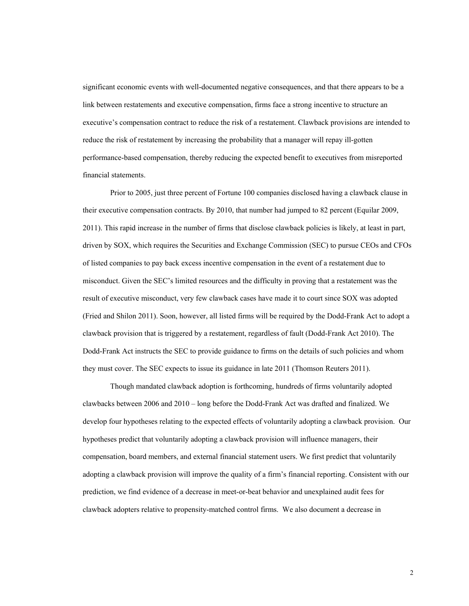significant economic events with well-documented negative consequences, and that there appears to be a link between restatements and executive compensation, firms face a strong incentive to structure an executive's compensation contract to reduce the risk of a restatement. Clawback provisions are intended to reduce the risk of restatement by increasing the probability that a manager will repay ill-gotten performance-based compensation, thereby reducing the expected benefit to executives from misreported financial statements.

Prior to 2005, just three percent of Fortune 100 companies disclosed having a clawback clause in their executive compensation contracts. By 2010, that number had jumped to 82 percent (Equilar 2009, 2011). This rapid increase in the number of firms that disclose clawback policies is likely, at least in part, driven by SOX, which requires the Securities and Exchange Commission (SEC) to pursue CEOs and CFOs of listed companies to pay back excess incentive compensation in the event of a restatement due to misconduct. Given the SEC's limited resources and the difficulty in proving that a restatement was the result of executive misconduct, very few clawback cases have made it to court since SOX was adopted (Fried and Shilon 2011). Soon, however, all listed firms will be required by the Dodd-Frank Act to adopt a clawback provision that is triggered by a restatement, regardless of fault (Dodd-Frank Act 2010). The Dodd-Frank Act instructs the SEC to provide guidance to firms on the details of such policies and whom they must cover. The SEC expects to issue its guidance in late 2011 (Thomson Reuters 2011).

Though mandated clawback adoption is forthcoming, hundreds of firms voluntarily adopted clawbacks between 2006 and 2010 – long before the Dodd-Frank Act was drafted and finalized. We develop four hypotheses relating to the expected effects of voluntarily adopting a clawback provision. Our hypotheses predict that voluntarily adopting a clawback provision will influence managers, their compensation, board members, and external financial statement users. We first predict that voluntarily adopting a clawback provision will improve the quality of a firm's financial reporting. Consistent with our prediction, we find evidence of a decrease in meet-or-beat behavior and unexplained audit fees for clawback adopters relative to propensity-matched control firms. We also document a decrease in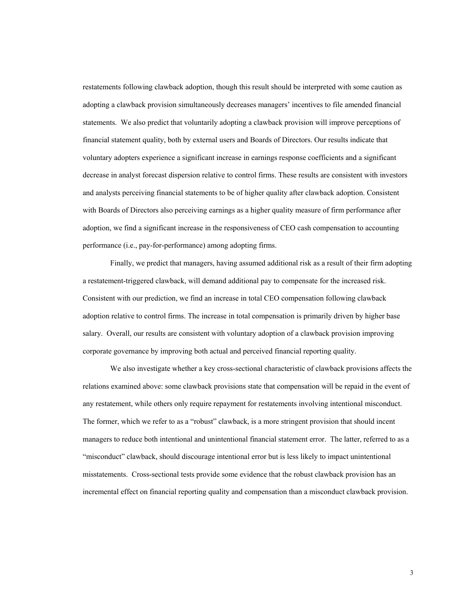restatements following clawback adoption, though this result should be interpreted with some caution as adopting a clawback provision simultaneously decreases managers' incentives to file amended financial statements. We also predict that voluntarily adopting a clawback provision will improve perceptions of financial statement quality, both by external users and Boards of Directors. Our results indicate that voluntary adopters experience a significant increase in earnings response coefficients and a significant decrease in analyst forecast dispersion relative to control firms. These results are consistent with investors and analysts perceiving financial statements to be of higher quality after clawback adoption. Consistent with Boards of Directors also perceiving earnings as a higher quality measure of firm performance after adoption, we find a significant increase in the responsiveness of CEO cash compensation to accounting performance (i.e., pay-for-performance) among adopting firms.

Finally, we predict that managers, having assumed additional risk as a result of their firm adopting a restatement-triggered clawback, will demand additional pay to compensate for the increased risk. Consistent with our prediction, we find an increase in total CEO compensation following clawback adoption relative to control firms. The increase in total compensation is primarily driven by higher base salary. Overall, our results are consistent with voluntary adoption of a clawback provision improving corporate governance by improving both actual and perceived financial reporting quality.

We also investigate whether a key cross-sectional characteristic of clawback provisions affects the relations examined above: some clawback provisions state that compensation will be repaid in the event of any restatement, while others only require repayment for restatements involving intentional misconduct. The former, which we refer to as a "robust" clawback, is a more stringent provision that should incent managers to reduce both intentional and unintentional financial statement error. The latter, referred to as a "misconduct" clawback, should discourage intentional error but is less likely to impact unintentional misstatements. Cross-sectional tests provide some evidence that the robust clawback provision has an incremental effect on financial reporting quality and compensation than a misconduct clawback provision.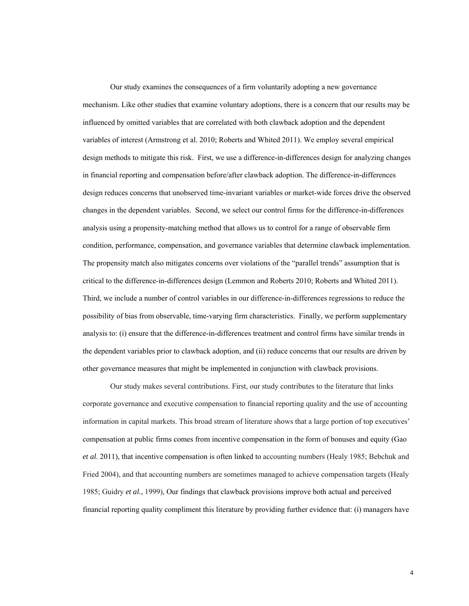Our study examines the consequences of a firm voluntarily adopting a new governance mechanism. Like other studies that examine voluntary adoptions, there is a concern that our results may be influenced by omitted variables that are correlated with both clawback adoption and the dependent variables of interest (Armstrong et al. 2010; Roberts and Whited 2011). We employ several empirical design methods to mitigate this risk. First, we use a difference-in-differences design for analyzing changes in financial reporting and compensation before/after clawback adoption. The difference-in-differences design reduces concerns that unobserved time-invariant variables or market-wide forces drive the observed changes in the dependent variables. Second, we select our control firms for the difference-in-differences analysis using a propensity-matching method that allows us to control for a range of observable firm condition, performance, compensation, and governance variables that determine clawback implementation. The propensity match also mitigates concerns over violations of the "parallel trends" assumption that is critical to the difference-in-differences design (Lemmon and Roberts 2010; Roberts and Whited 2011). Third, we include a number of control variables in our difference-in-differences regressions to reduce the possibility of bias from observable, time-varying firm characteristics. Finally, we perform supplementary analysis to: (i) ensure that the difference-in-differences treatment and control firms have similar trends in the dependent variables prior to clawback adoption, and (ii) reduce concerns that our results are driven by other governance measures that might be implemented in conjunction with clawback provisions.

Our study makes several contributions. First, our study contributes to the literature that links corporate governance and executive compensation to financial reporting quality and the use of accounting information in capital markets. This broad stream of literature shows that a large portion of top executives' compensation at public firms comes from incentive compensation in the form of bonuses and equity (Gao *et al*. 2011), that incentive compensation is often linked to accounting numbers (Healy 1985; Bebchuk and Fried 2004), and that accounting numbers are sometimes managed to achieve compensation targets (Healy 1985; Guidry *et al*., 1999), Our findings that clawback provisions improve both actual and perceived financial reporting quality compliment this literature by providing further evidence that: (i) managers have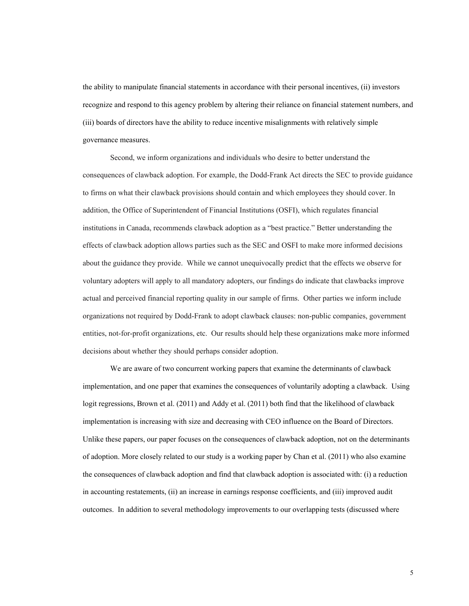the ability to manipulate financial statements in accordance with their personal incentives, (ii) investors recognize and respond to this agency problem by altering their reliance on financial statement numbers, and (iii) boards of directors have the ability to reduce incentive misalignments with relatively simple governance measures.

Second, we inform organizations and individuals who desire to better understand the consequences of clawback adoption. For example, the Dodd-Frank Act directs the SEC to provide guidance to firms on what their clawback provisions should contain and which employees they should cover. In addition, the Office of Superintendent of Financial Institutions (OSFI), which regulates financial institutions in Canada, recommends clawback adoption as a "best practice." Better understanding the effects of clawback adoption allows parties such as the SEC and OSFI to make more informed decisions about the guidance they provide. While we cannot unequivocally predict that the effects we observe for voluntary adopters will apply to all mandatory adopters, our findings do indicate that clawbacks improve actual and perceived financial reporting quality in our sample of firms. Other parties we inform include organizations not required by Dodd-Frank to adopt clawback clauses: non-public companies, government entities, not-for-profit organizations, etc. Our results should help these organizations make more informed decisions about whether they should perhaps consider adoption.

We are aware of two concurrent working papers that examine the determinants of clawback implementation, and one paper that examines the consequences of voluntarily adopting a clawback. Using logit regressions, Brown et al. (2011) and Addy et al. (2011) both find that the likelihood of clawback implementation is increasing with size and decreasing with CEO influence on the Board of Directors. Unlike these papers, our paper focuses on the consequences of clawback adoption, not on the determinants of adoption. More closely related to our study is a working paper by Chan et al. (2011) who also examine the consequences of clawback adoption and find that clawback adoption is associated with: (i) a reduction in accounting restatements, (ii) an increase in earnings response coefficients, and (iii) improved audit outcomes. In addition to several methodology improvements to our overlapping tests (discussed where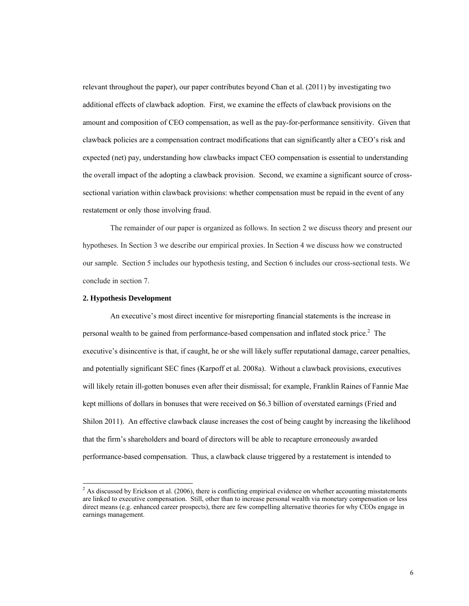relevant throughout the paper), our paper contributes beyond Chan et al. (2011) by investigating two additional effects of clawback adoption. First, we examine the effects of clawback provisions on the amount and composition of CEO compensation, as well as the pay-for-performance sensitivity. Given that clawback policies are a compensation contract modifications that can significantly alter a CEO's risk and expected (net) pay, understanding how clawbacks impact CEO compensation is essential to understanding the overall impact of the adopting a clawback provision. Second, we examine a significant source of crosssectional variation within clawback provisions: whether compensation must be repaid in the event of any restatement or only those involving fraud.

The remainder of our paper is organized as follows. In section 2 we discuss theory and present our hypotheses. In Section 3 we describe our empirical proxies. In Section 4 we discuss how we constructed our sample. Section 5 includes our hypothesis testing, and Section 6 includes our cross-sectional tests. We conclude in section 7.

#### **2. Hypothesis Development**

l

An executive's most direct incentive for misreporting financial statements is the increase in personal wealth to be gained from performance-based compensation and inflated stock price.<sup>2</sup> The executive's disincentive is that, if caught, he or she will likely suffer reputational damage, career penalties, and potentially significant SEC fines (Karpoff et al. 2008a). Without a clawback provisions, executives will likely retain ill-gotten bonuses even after their dismissal; for example, Franklin Raines of Fannie Mae kept millions of dollars in bonuses that were received on \$6.3 billion of overstated earnings (Fried and Shilon 2011). An effective clawback clause increases the cost of being caught by increasing the likelihood that the firm's shareholders and board of directors will be able to recapture erroneously awarded performance-based compensation. Thus, a clawback clause triggered by a restatement is intended to

 $2$  As discussed by Erickson et al. (2006), there is conflicting empirical evidence on whether accounting misstatements are linked to executive compensation. Still, other than to increase personal wealth via monetary compensation or less direct means (e.g. enhanced career prospects), there are few compelling alternative theories for why CEOs engage in earnings management.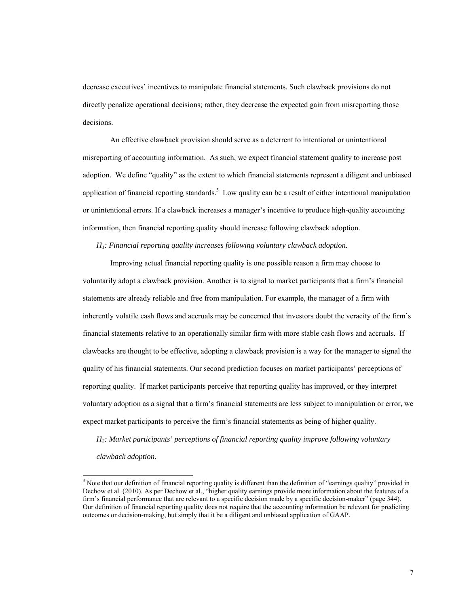decrease executives' incentives to manipulate financial statements. Such clawback provisions do not directly penalize operational decisions; rather, they decrease the expected gain from misreporting those decisions.

An effective clawback provision should serve as a deterrent to intentional or unintentional misreporting of accounting information. As such, we expect financial statement quality to increase post adoption. We define "quality" as the extent to which financial statements represent a diligent and unbiased application of financial reporting standards.<sup>3</sup> Low quality can be a result of either intentional manipulation or unintentional errors. If a clawback increases a manager's incentive to produce high-quality accounting information, then financial reporting quality should increase following clawback adoption.

*H1: Financial reporting quality increases following voluntary clawback adoption.* 

Improving actual financial reporting quality is one possible reason a firm may choose to voluntarily adopt a clawback provision. Another is to signal to market participants that a firm's financial statements are already reliable and free from manipulation. For example, the manager of a firm with inherently volatile cash flows and accruals may be concerned that investors doubt the veracity of the firm's financial statements relative to an operationally similar firm with more stable cash flows and accruals. If clawbacks are thought to be effective, adopting a clawback provision is a way for the manager to signal the quality of his financial statements. Our second prediction focuses on market participants' perceptions of reporting quality. If market participants perceive that reporting quality has improved, or they interpret voluntary adoption as a signal that a firm's financial statements are less subject to manipulation or error, we expect market participants to perceive the firm's financial statements as being of higher quality.

*H2: Market participants' perceptions of financial reporting quality improve following voluntary* 

*clawback adoption.* 

 $\overline{a}$ 

<sup>&</sup>lt;sup>3</sup> Note that our definition of financial reporting quality is different than the definition of "earnings quality" provided in Dechow et al. (2010). As per Dechow et al., "higher quality earnings provide more information about the features of a firm's financial performance that are relevant to a specific decision made by a specific decision-maker" (page 344). Our definition of financial reporting quality does not require that the accounting information be relevant for predicting outcomes or decision-making, but simply that it be a diligent and unbiased application of GAAP.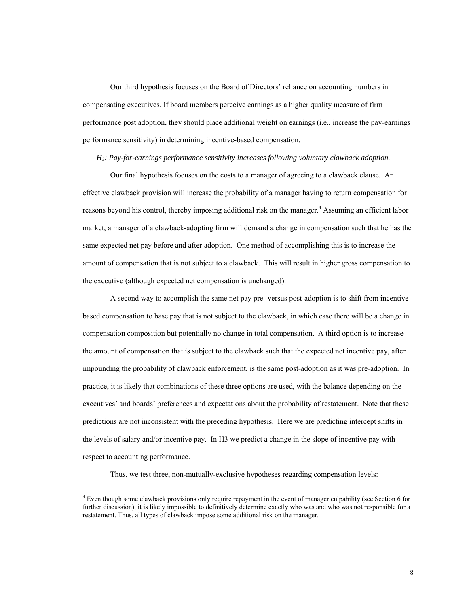Our third hypothesis focuses on the Board of Directors' reliance on accounting numbers in compensating executives. If board members perceive earnings as a higher quality measure of firm performance post adoption, they should place additional weight on earnings (i.e., increase the pay-earnings performance sensitivity) in determining incentive-based compensation.

#### *H3: Pay-for-earnings performance sensitivity increases following voluntary clawback adoption.*

Our final hypothesis focuses on the costs to a manager of agreeing to a clawback clause. An effective clawback provision will increase the probability of a manager having to return compensation for reasons beyond his control, thereby imposing additional risk on the manager.<sup>4</sup> Assuming an efficient labor market, a manager of a clawback-adopting firm will demand a change in compensation such that he has the same expected net pay before and after adoption. One method of accomplishing this is to increase the amount of compensation that is not subject to a clawback. This will result in higher gross compensation to the executive (although expected net compensation is unchanged).

A second way to accomplish the same net pay pre- versus post-adoption is to shift from incentivebased compensation to base pay that is not subject to the clawback, in which case there will be a change in compensation composition but potentially no change in total compensation. A third option is to increase the amount of compensation that is subject to the clawback such that the expected net incentive pay, after impounding the probability of clawback enforcement, is the same post-adoption as it was pre-adoption. In practice, it is likely that combinations of these three options are used, with the balance depending on the executives' and boards' preferences and expectations about the probability of restatement. Note that these predictions are not inconsistent with the preceding hypothesis. Here we are predicting intercept shifts in the levels of salary and/or incentive pay. In H3 we predict a change in the slope of incentive pay with respect to accounting performance.

Thus, we test three, non-mutually-exclusive hypotheses regarding compensation levels:

 $\overline{a}$ 

<sup>&</sup>lt;sup>4</sup> Even though some clawback provisions only require repayment in the event of manager culpability (see Section 6 for further discussion), it is likely impossible to definitively determine exactly who was and who was not responsible for a restatement. Thus, all types of clawback impose some additional risk on the manager.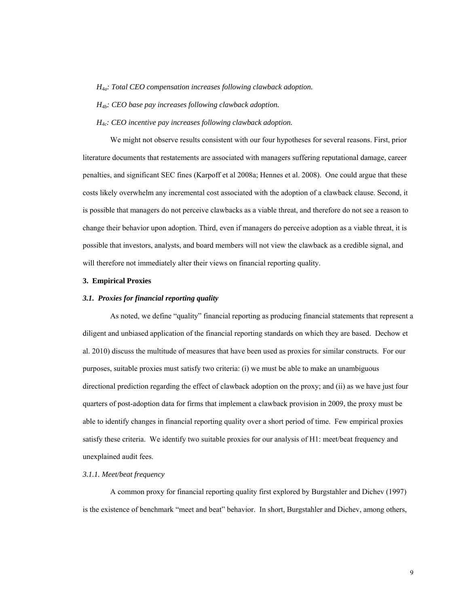*H4a: Total CEO compensation increases following clawback adoption.* 

*H4b: CEO base pay increases following clawback adoption.* 

*H4c: CEO incentive pay increases following clawback adoption.* 

We might not observe results consistent with our four hypotheses for several reasons. First, prior literature documents that restatements are associated with managers suffering reputational damage, career penalties, and significant SEC fines (Karpoff et al 2008a; Hennes et al. 2008). One could argue that these costs likely overwhelm any incremental cost associated with the adoption of a clawback clause. Second, it is possible that managers do not perceive clawbacks as a viable threat, and therefore do not see a reason to change their behavior upon adoption. Third, even if managers do perceive adoption as a viable threat, it is possible that investors, analysts, and board members will not view the clawback as a credible signal, and will therefore not immediately alter their views on financial reporting quality.

### **3. Empirical Proxies**

#### *3.1. Proxies for financial reporting quality*

 As noted, we define "quality" financial reporting as producing financial statements that represent a diligent and unbiased application of the financial reporting standards on which they are based. Dechow et al. 2010) discuss the multitude of measures that have been used as proxies for similar constructs. For our purposes, suitable proxies must satisfy two criteria: (i) we must be able to make an unambiguous directional prediction regarding the effect of clawback adoption on the proxy; and (ii) as we have just four quarters of post-adoption data for firms that implement a clawback provision in 2009, the proxy must be able to identify changes in financial reporting quality over a short period of time. Few empirical proxies satisfy these criteria. We identify two suitable proxies for our analysis of H1: meet/beat frequency and unexplained audit fees.

#### *3.1.1. Meet/beat frequency*

A common proxy for financial reporting quality first explored by Burgstahler and Dichev (1997) is the existence of benchmark "meet and beat" behavior. In short, Burgstahler and Dichev, among others,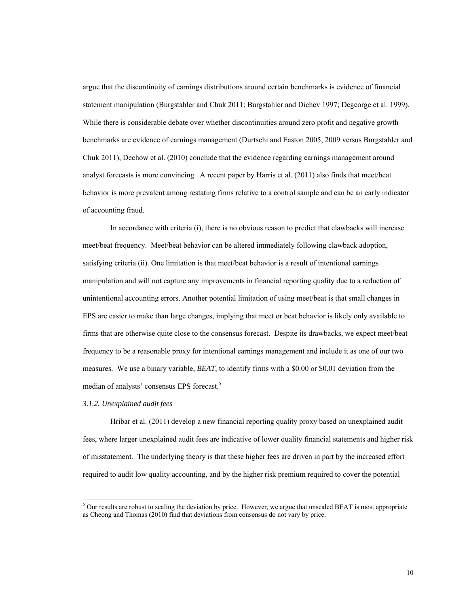argue that the discontinuity of earnings distributions around certain benchmarks is evidence of financial statement manipulation (Burgstahler and Chuk 2011; Burgstahler and Dichev 1997; Degeorge et al. 1999). While there is considerable debate over whether discontinuities around zero profit and negative growth benchmarks are evidence of earnings management (Durtschi and Easton 2005, 2009 versus Burgstahler and Chuk 2011), Dechow et al. (2010) conclude that the evidence regarding earnings management around analyst forecasts is more convincing. A recent paper by Harris et al. (2011) also finds that meet/beat behavior is more prevalent among restating firms relative to a control sample and can be an early indicator of accounting fraud.

In accordance with criteria (i), there is no obvious reason to predict that clawbacks will increase meet/beat frequency. Meet/beat behavior can be altered immediately following clawback adoption, satisfying criteria (ii). One limitation is that meet/beat behavior is a result of intentional earnings manipulation and will not capture any improvements in financial reporting quality due to a reduction of unintentional accounting errors. Another potential limitation of using meet/beat is that small changes in EPS are easier to make than large changes, implying that meet or beat behavior is likely only available to firms that are otherwise quite close to the consensus forecast. Despite its drawbacks, we expect meet/beat frequency to be a reasonable proxy for intentional earnings management and include it as one of our two measures. We use a binary variable, *BEAT*, to identify firms with a \$0.00 or \$0.01 deviation from the median of analysts' consensus EPS forecast.<sup>5</sup>

### *3.1.2. Unexplained audit fees*

l

 Hribar et al. (2011) develop a new financial reporting quality proxy based on unexplained audit fees, where larger unexplained audit fees are indicative of lower quality financial statements and higher risk of misstatement. The underlying theory is that these higher fees are driven in part by the increased effort required to audit low quality accounting, and by the higher risk premium required to cover the potential

 $5$  Our results are robust to scaling the deviation by price. However, we argue that unscaled BEAT is most appropriate as Cheong and Thomas (2010) find that deviations from consensus do not vary by price.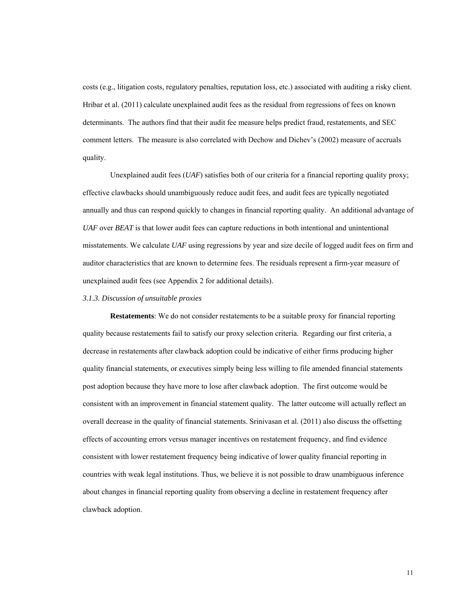costs (e.g., litigation costs, regulatory penalties, reputation loss, etc.) associated with auditing a risky client. Hribar et al. (2011) calculate unexplained audit fees as the residual from regressions of fees on known determinants. The authors find that their audit fee measure helps predict fraud, restatements, and SEC comment letters. The measure is also correlated with Dechow and Dichev's (2002) measure of accruals quality.

Unexplained audit fees (*UAF*) satisfies both of our criteria for a financial reporting quality proxy; effective clawbacks should unambiguously reduce audit fees, and audit fees are typically negotiated annually and thus can respond quickly to changes in financial reporting quality. An additional advantage of *UAF* over *BEAT* is that lower audit fees can capture reductions in both intentional and unintentional misstatements. We calculate *UAF* using regressions by year and size decile of logged audit fees on firm and auditor characteristics that are known to determine fees. The residuals represent a firm-year measure of unexplained audit fees (see Appendix 2 for additional details).

#### *3.1.3. Discussion of unsuitable proxies*

**Restatements**: We do not consider restatements to be a suitable proxy for financial reporting quality because restatements fail to satisfy our proxy selection criteria. Regarding our first criteria, a decrease in restatements after clawback adoption could be indicative of either firms producing higher quality financial statements, or executives simply being less willing to file amended financial statements post adoption because they have more to lose after clawback adoption. The first outcome would be consistent with an improvement in financial statement quality. The latter outcome will actually reflect an overall decrease in the quality of financial statements. Srinivasan et al. (2011) also discuss the offsetting effects of accounting errors versus manager incentives on restatement frequency, and find evidence consistent with lower restatement frequency being indicative of lower quality financial reporting in countries with weak legal institutions. Thus, we believe it is not possible to draw unambiguous inference about changes in financial reporting quality from observing a decline in restatement frequency after clawback adoption.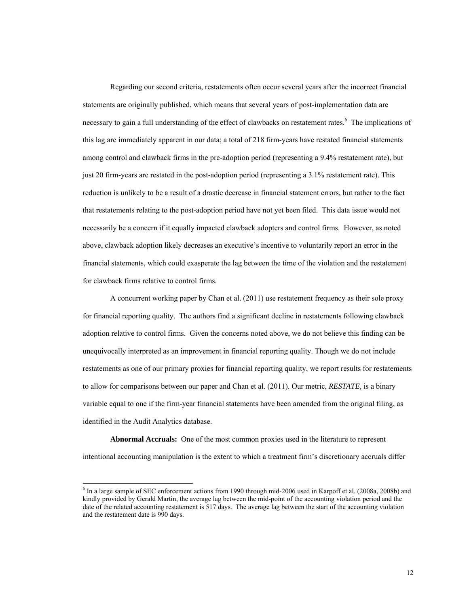Regarding our second criteria, restatements often occur several years after the incorrect financial statements are originally published, which means that several years of post-implementation data are necessary to gain a full understanding of the effect of clawbacks on restatement rates.<sup>6</sup> The implications of this lag are immediately apparent in our data; a total of 218 firm-years have restated financial statements among control and clawback firms in the pre-adoption period (representing a 9.4% restatement rate), but just 20 firm-years are restated in the post-adoption period (representing a 3.1% restatement rate). This reduction is unlikely to be a result of a drastic decrease in financial statement errors, but rather to the fact that restatements relating to the post-adoption period have not yet been filed. This data issue would not necessarily be a concern if it equally impacted clawback adopters and control firms. However, as noted above, clawback adoption likely decreases an executive's incentive to voluntarily report an error in the financial statements, which could exasperate the lag between the time of the violation and the restatement for clawback firms relative to control firms.

A concurrent working paper by Chan et al. (2011) use restatement frequency as their sole proxy for financial reporting quality. The authors find a significant decline in restatements following clawback adoption relative to control firms. Given the concerns noted above, we do not believe this finding can be unequivocally interpreted as an improvement in financial reporting quality. Though we do not include restatements as one of our primary proxies for financial reporting quality, we report results for restatements to allow for comparisons between our paper and Chan et al. (2011). Our metric, *RESTATE,* is a binary variable equal to one if the firm-year financial statements have been amended from the original filing, as identified in the Audit Analytics database.

**Abnormal Accruals:** One of the most common proxies used in the literature to represent intentional accounting manipulation is the extent to which a treatment firm's discretionary accruals differ

l

<sup>&</sup>lt;sup>6</sup> In a large sample of SEC enforcement actions from 1990 through mid-2006 used in Karpoff et al. (2008a, 2008b) and kindly provided by Gerald Martin, the average lag between the mid-point of the accounting violation period and the date of the related accounting restatement is 517 days. The average lag between the start of the accounting violation and the restatement date is 990 days.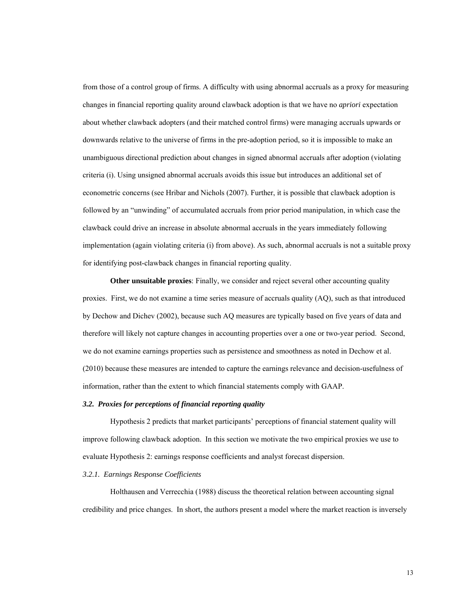from those of a control group of firms. A difficulty with using abnormal accruals as a proxy for measuring changes in financial reporting quality around clawback adoption is that we have no *apriori* expectation about whether clawback adopters (and their matched control firms) were managing accruals upwards or downwards relative to the universe of firms in the pre-adoption period, so it is impossible to make an unambiguous directional prediction about changes in signed abnormal accruals after adoption (violating criteria (i). Using unsigned abnormal accruals avoids this issue but introduces an additional set of econometric concerns (see Hribar and Nichols (2007). Further, it is possible that clawback adoption is followed by an "unwinding" of accumulated accruals from prior period manipulation, in which case the clawback could drive an increase in absolute abnormal accruals in the years immediately following implementation (again violating criteria (i) from above). As such, abnormal accruals is not a suitable proxy for identifying post-clawback changes in financial reporting quality.

**Other unsuitable proxies**: Finally, we consider and reject several other accounting quality proxies. First, we do not examine a time series measure of accruals quality (AQ), such as that introduced by Dechow and Dichev (2002), because such AQ measures are typically based on five years of data and therefore will likely not capture changes in accounting properties over a one or two-year period. Second, we do not examine earnings properties such as persistence and smoothness as noted in Dechow et al. (2010) because these measures are intended to capture the earnings relevance and decision-usefulness of information, rather than the extent to which financial statements comply with GAAP.

#### *3.2. Proxies for perceptions of financial reporting quality*

 Hypothesis 2 predicts that market participants' perceptions of financial statement quality will improve following clawback adoption. In this section we motivate the two empirical proxies we use to evaluate Hypothesis 2: earnings response coefficients and analyst forecast dispersion.

#### *3.2.1. Earnings Response Coefficients*

Holthausen and Verrecchia (1988) discuss the theoretical relation between accounting signal credibility and price changes. In short, the authors present a model where the market reaction is inversely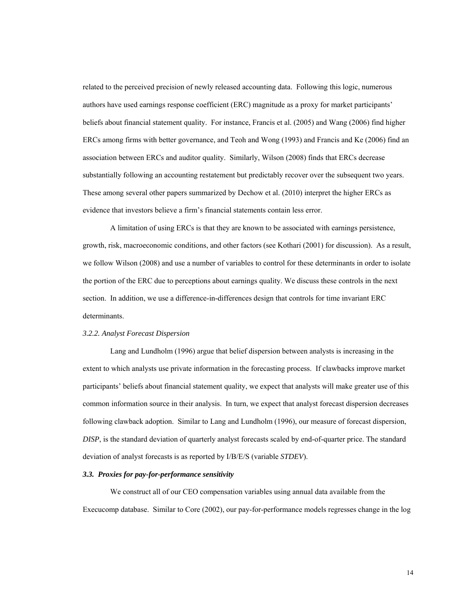related to the perceived precision of newly released accounting data. Following this logic, numerous authors have used earnings response coefficient (ERC) magnitude as a proxy for market participants' beliefs about financial statement quality. For instance, Francis et al. (2005) and Wang (2006) find higher ERCs among firms with better governance, and Teoh and Wong (1993) and Francis and Ke (2006) find an association between ERCs and auditor quality. Similarly, Wilson (2008) finds that ERCs decrease substantially following an accounting restatement but predictably recover over the subsequent two years. These among several other papers summarized by Dechow et al. (2010) interpret the higher ERCs as evidence that investors believe a firm's financial statements contain less error.

A limitation of using ERCs is that they are known to be associated with earnings persistence, growth, risk, macroeconomic conditions, and other factors (see Kothari (2001) for discussion). As a result, we follow Wilson (2008) and use a number of variables to control for these determinants in order to isolate the portion of the ERC due to perceptions about earnings quality. We discuss these controls in the next section. In addition, we use a difference-in-differences design that controls for time invariant ERC determinants.

#### *3.2.2. Analyst Forecast Dispersion*

Lang and Lundholm (1996) argue that belief dispersion between analysts is increasing in the extent to which analysts use private information in the forecasting process. If clawbacks improve market participants' beliefs about financial statement quality, we expect that analysts will make greater use of this common information source in their analysis. In turn, we expect that analyst forecast dispersion decreases following clawback adoption. Similar to Lang and Lundholm (1996), our measure of forecast dispersion, *DISP*, is the standard deviation of quarterly analyst forecasts scaled by end-of-quarter price. The standard deviation of analyst forecasts is as reported by I/B/E/S (variable *STDEV*).

#### *3.3. Proxies for pay-for-performance sensitivity*

 We construct all of our CEO compensation variables using annual data available from the Execucomp database. Similar to Core (2002), our pay-for-performance models regresses change in the log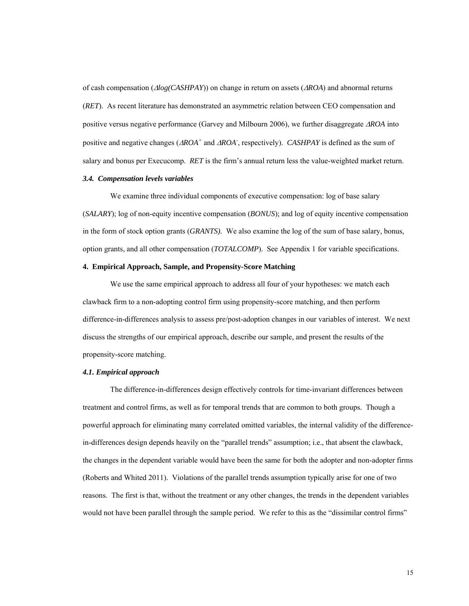of cash compensation (Δ*log(CASHPAY*)) on change in return on assets (Δ*ROA*) and abnormal returns (*RET*). As recent literature has demonstrated an asymmetric relation between CEO compensation and positive versus negative performance (Garvey and Milbourn 2006), we further disaggregate Δ*ROA* into positive and negative changes (Δ*ROA+* and Δ*ROA-* , respectively). *CASHPAY* is defined as the sum of salary and bonus per Execucomp. *RET* is the firm's annual return less the value-weighted market return.

#### *3.4. Compensation levels variables*

 We examine three individual components of executive compensation: log of base salary (*SALARY*); log of non-equity incentive compensation (*BONUS*); and log of equity incentive compensation in the form of stock option grants (*GRANTS).* We also examine the log of the sum of base salary, bonus, option grants, and all other compensation (*TOTALCOMP*). See Appendix 1 for variable specifications.

#### **4. Empirical Approach, Sample, and Propensity-Score Matching**

 We use the same empirical approach to address all four of your hypotheses: we match each clawback firm to a non-adopting control firm using propensity-score matching, and then perform difference-in-differences analysis to assess pre/post-adoption changes in our variables of interest. We next discuss the strengths of our empirical approach, describe our sample, and present the results of the propensity-score matching.

### *4.1. Empirical approach*

The difference-in-differences design effectively controls for time-invariant differences between treatment and control firms, as well as for temporal trends that are common to both groups. Though a powerful approach for eliminating many correlated omitted variables, the internal validity of the differencein-differences design depends heavily on the "parallel trends" assumption; i.e., that absent the clawback, the changes in the dependent variable would have been the same for both the adopter and non-adopter firms (Roberts and Whited 2011). Violations of the parallel trends assumption typically arise for one of two reasons. The first is that, without the treatment or any other changes, the trends in the dependent variables would not have been parallel through the sample period. We refer to this as the "dissimilar control firms"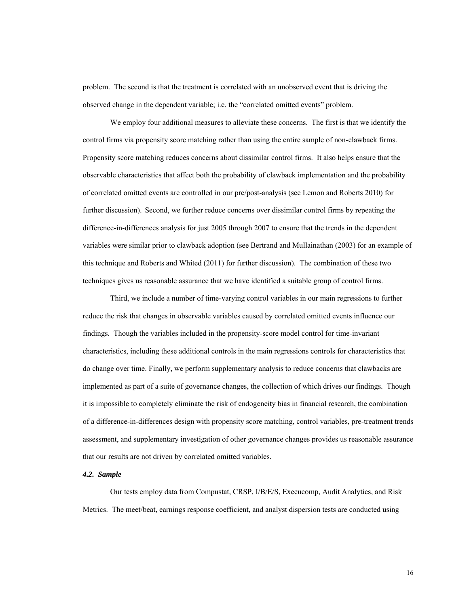problem. The second is that the treatment is correlated with an unobserved event that is driving the observed change in the dependent variable; i.e. the "correlated omitted events" problem.

We employ four additional measures to alleviate these concerns. The first is that we identify the control firms via propensity score matching rather than using the entire sample of non-clawback firms. Propensity score matching reduces concerns about dissimilar control firms. It also helps ensure that the observable characteristics that affect both the probability of clawback implementation and the probability of correlated omitted events are controlled in our pre/post-analysis (see Lemon and Roberts 2010) for further discussion). Second, we further reduce concerns over dissimilar control firms by repeating the difference-in-differences analysis for just 2005 through 2007 to ensure that the trends in the dependent variables were similar prior to clawback adoption (see Bertrand and Mullainathan (2003) for an example of this technique and Roberts and Whited (2011) for further discussion). The combination of these two techniques gives us reasonable assurance that we have identified a suitable group of control firms.

Third, we include a number of time-varying control variables in our main regressions to further reduce the risk that changes in observable variables caused by correlated omitted events influence our findings. Though the variables included in the propensity-score model control for time-invariant characteristics, including these additional controls in the main regressions controls for characteristics that do change over time. Finally, we perform supplementary analysis to reduce concerns that clawbacks are implemented as part of a suite of governance changes, the collection of which drives our findings. Though it is impossible to completely eliminate the risk of endogeneity bias in financial research, the combination of a difference-in-differences design with propensity score matching, control variables, pre-treatment trends assessment, and supplementary investigation of other governance changes provides us reasonable assurance that our results are not driven by correlated omitted variables.

#### *4.2. Sample*

Our tests employ data from Compustat, CRSP, I/B/E/S, Execucomp, Audit Analytics, and Risk Metrics. The meet/beat, earnings response coefficient, and analyst dispersion tests are conducted using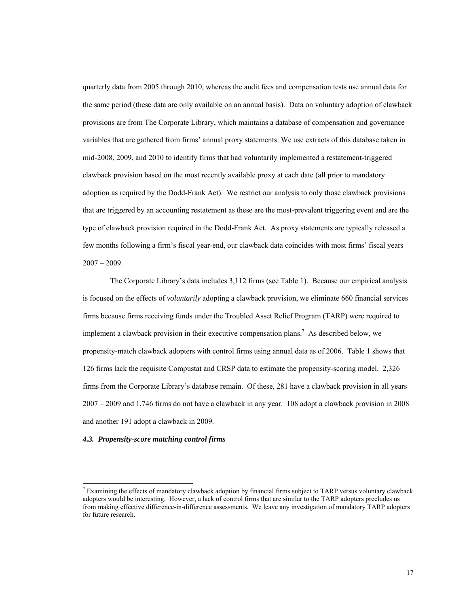quarterly data from 2005 through 2010, whereas the audit fees and compensation tests use annual data for the same period (these data are only available on an annual basis). Data on voluntary adoption of clawback provisions are from The Corporate Library, which maintains a database of compensation and governance variables that are gathered from firms' annual proxy statements. We use extracts of this database taken in mid-2008, 2009, and 2010 to identify firms that had voluntarily implemented a restatement-triggered clawback provision based on the most recently available proxy at each date (all prior to mandatory adoption as required by the Dodd-Frank Act). We restrict our analysis to only those clawback provisions that are triggered by an accounting restatement as these are the most-prevalent triggering event and are the type of clawback provision required in the Dodd-Frank Act. As proxy statements are typically released a few months following a firm's fiscal year-end, our clawback data coincides with most firms' fiscal years  $2007 - 2009$ .

The Corporate Library's data includes 3,112 firms (see Table 1). Because our empirical analysis is focused on the effects of *voluntarily* adopting a clawback provision, we eliminate 660 financial services firms because firms receiving funds under the Troubled Asset Relief Program (TARP) were required to implement a clawback provision in their executive compensation plans.<sup>7</sup> As described below, we propensity-match clawback adopters with control firms using annual data as of 2006. Table 1 shows that 126 firms lack the requisite Compustat and CRSP data to estimate the propensity-scoring model. 2,326 firms from the Corporate Library's database remain. Of these, 281 have a clawback provision in all years 2007 – 2009 and 1,746 firms do not have a clawback in any year. 108 adopt a clawback provision in 2008 and another 191 adopt a clawback in 2009.

#### *4.3. Propensity-score matching control firms*

l

 $7$  Examining the effects of mandatory clawback adoption by financial firms subject to TARP versus voluntary clawback adopters would be interesting. However, a lack of control firms that are similar to the TARP adopters precludes us from making effective difference-in-difference assessments. We leave any investigation of mandatory TARP adopters for future research.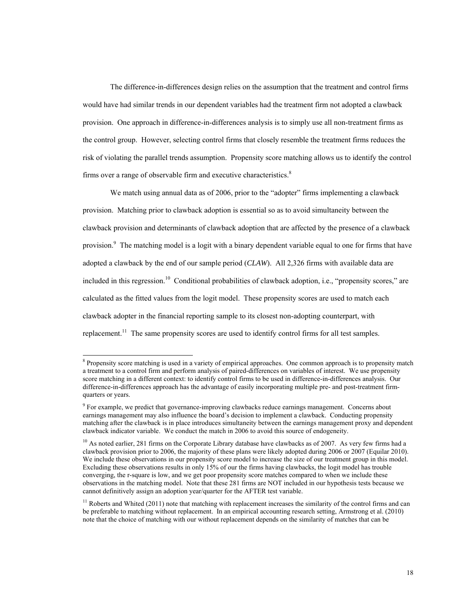The difference-in-differences design relies on the assumption that the treatment and control firms would have had similar trends in our dependent variables had the treatment firm not adopted a clawback provision. One approach in difference-in-differences analysis is to simply use all non-treatment firms as the control group. However, selecting control firms that closely resemble the treatment firms reduces the risk of violating the parallel trends assumption. Propensity score matching allows us to identify the control firms over a range of observable firm and executive characteristics.<sup>8</sup>

We match using annual data as of 2006, prior to the "adopter" firms implementing a clawback provision. Matching prior to clawback adoption is essential so as to avoid simultaneity between the clawback provision and determinants of clawback adoption that are affected by the presence of a clawback provision.<sup>9</sup> The matching model is a logit with a binary dependent variable equal to one for firms that have adopted a clawback by the end of our sample period (*CLAW*). All 2,326 firms with available data are included in this regression.<sup>10</sup> Conditional probabilities of clawback adoption, i.e., "propensity scores," are calculated as the fitted values from the logit model. These propensity scores are used to match each clawback adopter in the financial reporting sample to its closest non-adopting counterpart, with replacement.<sup>11</sup> The same propensity scores are used to identify control firms for all test samples.

l

<sup>&</sup>lt;sup>8</sup> Propensity score matching is used in a variety of empirical approaches. One common approach is to propensity match a treatment to a control firm and perform analysis of paired-differences on variables of interest. We use propensity score matching in a different context: to identify control firms to be used in difference-in-differences analysis. Our difference-in-differences approach has the advantage of easily incorporating multiple pre- and post-treatment firmquarters or years.

<sup>&</sup>lt;sup>9</sup> For example, we predict that governance-improving clawbacks reduce earnings management. Concerns about earnings management may also influence the board's decision to implement a clawback. Conducting propensity matching after the clawback is in place introduces simultaneity between the earnings management proxy and dependent clawback indicator variable. We conduct the match in 2006 to avoid this source of endogeneity.

 $10$  As noted earlier, 281 firms on the Corporate Library database have clawbacks as of 2007. As very few firms had a clawback provision prior to 2006, the majority of these plans were likely adopted during 2006 or 2007 (Equilar 2010). We include these observations in our propensity score model to increase the size of our treatment group in this model. Excluding these observations results in only 15% of our the firms having clawbacks, the logit model has trouble converging, the r-square is low, and we get poor propensity score matches compared to when we include these observations in the matching model. Note that these 281 firms are NOT included in our hypothesis tests because we cannot definitively assign an adoption year/quarter for the AFTER test variable.

 $<sup>11</sup>$  Roberts and Whited (2011) note that matching with replacement increases the similarity of the control firms and can</sup> be preferable to matching without replacement. In an empirical accounting research setting, Armstrong et al. (2010) note that the choice of matching with our without replacement depends on the similarity of matches that can be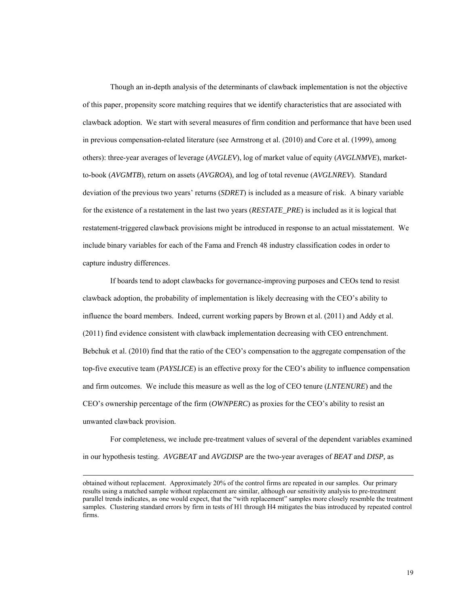Though an in-depth analysis of the determinants of clawback implementation is not the objective of this paper, propensity score matching requires that we identify characteristics that are associated with clawback adoption. We start with several measures of firm condition and performance that have been used in previous compensation-related literature (see Armstrong et al. (2010) and Core et al. (1999), among others): three-year averages of leverage (*AVGLEV*), log of market value of equity (*AVGLNMVE*), marketto-book (*AVGMTB*), return on assets (*AVGROA*), and log of total revenue (*AVGLNREV*). Standard deviation of the previous two years' returns (*SDRET*) is included as a measure of risk. A binary variable for the existence of a restatement in the last two years (*RESTATE\_PRE*) is included as it is logical that restatement-triggered clawback provisions might be introduced in response to an actual misstatement. We include binary variables for each of the Fama and French 48 industry classification codes in order to capture industry differences.

If boards tend to adopt clawbacks for governance-improving purposes and CEOs tend to resist clawback adoption, the probability of implementation is likely decreasing with the CEO's ability to influence the board members. Indeed, current working papers by Brown et al. (2011) and Addy et al. (2011) find evidence consistent with clawback implementation decreasing with CEO entrenchment. Bebchuk et al. (2010) find that the ratio of the CEO's compensation to the aggregate compensation of the top-five executive team (*PAYSLICE*) is an effective proxy for the CEO's ability to influence compensation and firm outcomes. We include this measure as well as the log of CEO tenure (*LNTENURE*) and the CEO's ownership percentage of the firm (*OWNPERC*) as proxies for the CEO's ability to resist an unwanted clawback provision.

For completeness, we include pre-treatment values of several of the dependent variables examined in our hypothesis testing. *AVGBEAT* and *AVGDISP* are the two-year averages of *BEAT* and *DISP,* as

obtained without replacement. Approximately 20% of the control firms are repeated in our samples. Our primary results using a matched sample without replacement are similar, although our sensitivity analysis to pre-treatment parallel trends indicates, as one would expect, that the "with replacement" samples more closely resemble the treatment samples. Clustering standard errors by firm in tests of H1 through H4 mitigates the bias introduced by repeated control firms.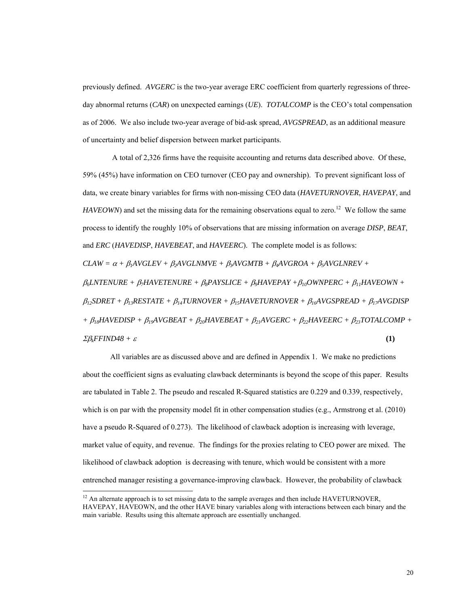previously defined. *AVGERC* is the two-year average ERC coefficient from quarterly regressions of threeday abnormal returns (*CAR*) on unexpected earnings (*UE*). *TOTALCOMP* is the CEO's total compensation as of 2006. We also include two-year average of bid-ask spread, *AVGSPREAD*, as an additional measure of uncertainty and belief dispersion between market participants.

 A total of 2,326 firms have the requisite accounting and returns data described above. Of these, 59% (45%) have information on CEO turnover (CEO pay and ownership). To prevent significant loss of data, we create binary variables for firms with non-missing CEO data (*HAVETURNOVER*, *HAVEPAY*, and *HAVEOWN*) and set the missing data for the remaining observations equal to zero.<sup>12</sup> We follow the same process to identify the roughly 10% of observations that are missing information on average *DISP*, *BEAT*, and *ERC* (*HAVEDISP*, *HAVEBEAT*, and *HAVEERC*). The complete model is as follows:  $CLAW = \alpha + \beta_1 AVGLEV + \beta_2 AVGLNMVE + \beta_3 AVGMTB + \beta_4 AVGROA + \beta_5 AVGLNREV +$ β*6LNTENURE +* β*7HAVETENURE +* β*8PAYSLICE +* β*9HAVEPAY +*β*10OWNPERC +* β*11HAVEOWN +*  β*12SDRET +* β*13RESTATE +* β*14TURNOVER +* β*15HAVETURNOVER +* β*16AVGSPREAD +* β*17AVGDISP +* β*18HAVEDISP +* β*19AVGBEAT +* β*20HAVEBEAT +* β*21AVGERC +* β*22HAVEERC +* β*23TOTALCOMP +* 

 $\Sigma \beta_k FFIND48 + \varepsilon$  **(1) (1)** 

 $\overline{a}$ 

All variables are as discussed above and are defined in Appendix 1. We make no predictions about the coefficient signs as evaluating clawback determinants is beyond the scope of this paper. Results are tabulated in Table 2. The pseudo and rescaled R-Squared statistics are 0.229 and 0.339, respectively, which is on par with the propensity model fit in other compensation studies (e.g., Armstrong et al. (2010) have a pseudo R-Squared of 0.273). The likelihood of clawback adoption is increasing with leverage, market value of equity, and revenue. The findings for the proxies relating to CEO power are mixed. The likelihood of clawback adoption is decreasing with tenure, which would be consistent with a more entrenched manager resisting a governance-improving clawback. However, the probability of clawback

<sup>&</sup>lt;sup>12</sup> An alternate approach is to set missing data to the sample averages and then include HAVETURNOVER, HAVEPAY, HAVEOWN, and the other HAVE binary variables along with interactions between each binary and the main variable. Results using this alternate approach are essentially unchanged.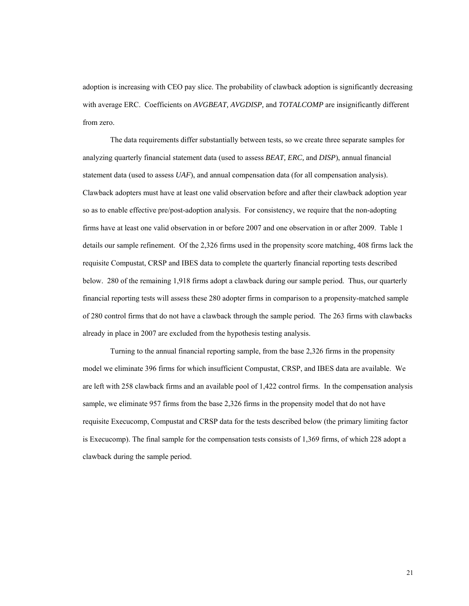adoption is increasing with CEO pay slice. The probability of clawback adoption is significantly decreasing with average ERC. Coefficients on *AVGBEAT, AVGDISP,* and *TOTALCOMP* are insignificantly different from zero.

The data requirements differ substantially between tests, so we create three separate samples for analyzing quarterly financial statement data (used to assess *BEAT, ERC,* and *DISP*), annual financial statement data (used to assess *UAF*), and annual compensation data (for all compensation analysis). Clawback adopters must have at least one valid observation before and after their clawback adoption year so as to enable effective pre/post-adoption analysis. For consistency, we require that the non-adopting firms have at least one valid observation in or before 2007 and one observation in or after 2009. Table 1 details our sample refinement. Of the 2,326 firms used in the propensity score matching, 408 firms lack the requisite Compustat, CRSP and IBES data to complete the quarterly financial reporting tests described below. 280 of the remaining 1,918 firms adopt a clawback during our sample period. Thus, our quarterly financial reporting tests will assess these 280 adopter firms in comparison to a propensity-matched sample of 280 control firms that do not have a clawback through the sample period. The 263 firms with clawbacks already in place in 2007 are excluded from the hypothesis testing analysis.

Turning to the annual financial reporting sample, from the base 2,326 firms in the propensity model we eliminate 396 firms for which insufficient Compustat, CRSP, and IBES data are available. We are left with 258 clawback firms and an available pool of 1,422 control firms. In the compensation analysis sample, we eliminate 957 firms from the base 2,326 firms in the propensity model that do not have requisite Execucomp, Compustat and CRSP data for the tests described below (the primary limiting factor is Execucomp). The final sample for the compensation tests consists of 1,369 firms, of which 228 adopt a clawback during the sample period.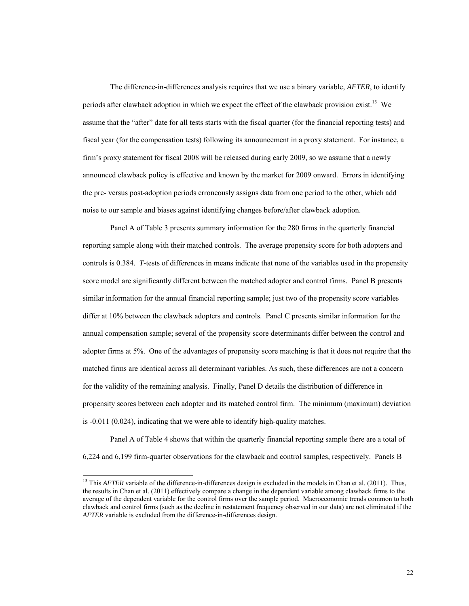The difference-in-differences analysis requires that we use a binary variable, *AFTER*, to identify periods after clawback adoption in which we expect the effect of the clawback provision exist.<sup>13</sup> We assume that the "after" date for all tests starts with the fiscal quarter (for the financial reporting tests) and fiscal year (for the compensation tests) following its announcement in a proxy statement. For instance, a firm's proxy statement for fiscal 2008 will be released during early 2009, so we assume that a newly announced clawback policy is effective and known by the market for 2009 onward. Errors in identifying the pre- versus post-adoption periods erroneously assigns data from one period to the other, which add noise to our sample and biases against identifying changes before/after clawback adoption.

Panel A of Table 3 presents summary information for the 280 firms in the quarterly financial reporting sample along with their matched controls. The average propensity score for both adopters and controls is 0.384. *T*-tests of differences in means indicate that none of the variables used in the propensity score model are significantly different between the matched adopter and control firms. Panel B presents similar information for the annual financial reporting sample; just two of the propensity score variables differ at 10% between the clawback adopters and controls. Panel C presents similar information for the annual compensation sample; several of the propensity score determinants differ between the control and adopter firms at 5%. One of the advantages of propensity score matching is that it does not require that the matched firms are identical across all determinant variables. As such, these differences are not a concern for the validity of the remaining analysis. Finally, Panel D details the distribution of difference in propensity scores between each adopter and its matched control firm. The minimum (maximum) deviation is -0.011 (0.024), indicating that we were able to identify high-quality matches.

Panel A of Table 4 shows that within the quarterly financial reporting sample there are a total of 6,224 and 6,199 firm-quarter observations for the clawback and control samples, respectively. Panels B

 $\overline{a}$ 

<sup>&</sup>lt;sup>13</sup> This *AFTER* variable of the difference-in-differences design is excluded in the models in Chan et al. (2011). Thus, the results in Chan et al. (2011) effectively compare a change in the dependent variable among clawback firms to the average of the dependent variable for the control firms over the sample period. Macroeconomic trends common to both clawback and control firms (such as the decline in restatement frequency observed in our data) are not eliminated if the *AFTER* variable is excluded from the difference-in-differences design.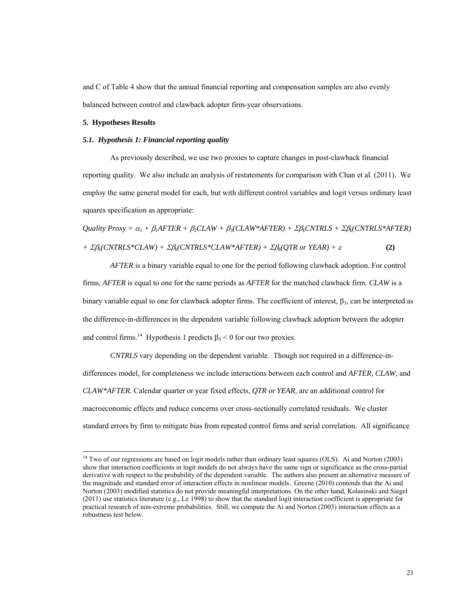and C of Table 4 show that the annual financial reporting and compensation samples are also evenly balanced between control and clawback adopter firm-year observations.

#### **5. Hypotheses Results**

 $\overline{a}$ 

#### *5.1. Hypothesis 1: Financial reporting quality*

As previously described, we use two proxies to capture changes in post-clawback financial reporting quality. We also include an analysis of restatements for comparison with Chan et al. (2011). We employ the same general model for each, but with different control variables and logit versus ordinary least squares specification as appropriate:

*Quality Proxy* = 
$$
\alpha_1 + \beta_1 \text{AFTER} + \beta_2 \text{CLAW} + \beta_3 (\text{CLAW}^* \text{AFTER}) + \Sigma \beta_k \text{CNTRLS} + \Sigma \beta_k (\text{CNTRLS}^* \text{AFTER})
$$
  
+  $\Sigma \beta_k (\text{CNTRLS}^* \text{CLAW}) + \Sigma \beta_k (\text{CNTRLS}^* \text{CLAW}^* \text{AFTER}) + \Sigma \beta_k (\text{QTR or YEAR}) + \varepsilon$  (2)

*AFTER* is a binary variable equal to one for the period following clawback adoption. For control firms, *AFTER* is equal to one for the same periods as *AFTER* for the matched clawback firm. *CLAW* is a binary variable equal to one for clawback adopter firms. The coefficient of interest,  $\beta_3$  can be interpreted as the difference-in-differences in the dependent variable following clawback adoption between the adopter and control firms.<sup>14</sup> Hypothesis 1 predicts  $\beta_3 \le 0$  for our two proxies.

*CNTRLS* vary depending on the dependent variable. Though not required in a difference-indifferences model, for completeness we include interactions between each control and *AFTER, CLAW,* and *CLAW\*AFTER.* Calendar quarter or year fixed effects, *QTR* or *YEAR,* are an additional control for macroeconomic effects and reduce concerns over cross-sectionally correlated residuals. We cluster standard errors by firm to mitigate bias from repeated control firms and serial correlation. All significance

 $14$  Two of our regressions are based on logit models rather than ordinary least squares (OLS). Ai and Norton (2003) show that interaction coefficients in logit models do not always have the same sign or significance as the cross-partial derivative with respect to the probability of the dependent variable. The authors also present an alternative measure of the magnitude and standard error of interaction effects in nonlinear models. Greene (2010) contends that the Ai and Norton (2003) modified statistics do not provide meaningful interpretations. On the other hand, Kolasinski and Siegel (2011) use statistics literature (e.g., Le 1998) to show that the standard logit interaction coefficient is appropriate for practical research of non-extreme probabilities. Still, we compute the Ai and Norton (2003) interaction effects as a robustness test below.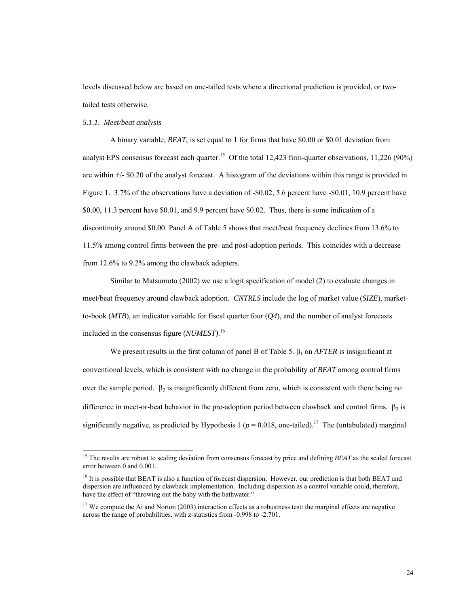levels discussed below are based on one-tailed tests where a directional prediction is provided, or twotailed tests otherwise.

#### *5.1.1. Meet/beat analysis*

l

A binary variable, *BEAT*, is set equal to 1 for firms that have \$0.00 or \$0.01 deviation from analyst EPS consensus forecast each quarter.<sup>15</sup> Of the total 12,423 firm-quarter observations, 11,226 (90%) are within +/- \$0.20 of the analyst forecast. A histogram of the deviations within this range is provided in Figure 1. 3.7% of the observations have a deviation of -\$0.02, 5.6 percent have -\$0.01, 10.9 percent have \$0.00, 11.3 percent have \$0.01, and 9.9 percent have \$0.02. Thus, there is some indication of a discontinuity around \$0.00. Panel A of Table 5 shows that meet/beat frequency declines from 13.6% to 11.5% among control firms between the pre- and post-adoption periods. This coincides with a decrease from 12.6% to 9.2% among the clawback adopters.

Similar to Matsumoto (2002) we use a logit specification of model (2) to evaluate changes in meet/beat frequency around clawback adoption. *CNTRLS* include the log of market value (*SIZE*), marketto-book ( $MTB$ ), an indicator variable for fiscal quarter four ( $Q<sup>4</sup>$ ), and the number of analyst forecasts included in the consensus figure (*NUMEST)*. 16

 We present results in the first column of panel B of Table 5. β1 on *AFTER* is insignificant at conventional levels, which is consistent with no change in the probability of *BEAT* among control firms over the sample period.  $\beta_2$  is insignificantly different from zero, which is consistent with there being no difference in meet-or-beat behavior in the pre-adoption period between clawback and control firms.  $\beta_3$  is significantly negative, as predicted by Hypothesis 1 ( $p = 0.018$ , one-tailed).<sup>17</sup> The (untabulated) marginal

<sup>&</sup>lt;sup>15</sup> The results are robust to scaling deviation from consensus forecast by price and defining *BEAT* as the scaled forecast error between 0 and 0.001.

 $^{16}$  It is possible that BEAT is also a function of forecast dispersion. However, our prediction is that both BEAT and dispersion are influenced by clawback implementation. Including dispersion as a control variable could, therefore, have the effect of "throwing out the baby with the bathwater."

 $17$  We compute the Ai and Norton (2003) interaction effects as a robustness test: the marginal effects are negative across the range of probabilities, with z-statistics from -0.998 to -2.701.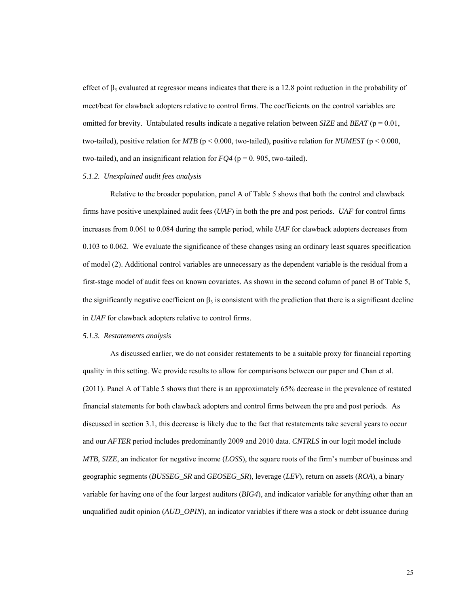effect of  $\beta_3$  evaluated at regressor means indicates that there is a 12.8 point reduction in the probability of meet/beat for clawback adopters relative to control firms. The coefficients on the control variables are omitted for brevity. Untabulated results indicate a negative relation between *SIZE* and *BEAT* ( $p = 0.01$ , two-tailed), positive relation for *MTB* ( $p < 0.000$ , two-tailed), positive relation for *NUMEST* ( $p < 0.000$ , two-tailed), and an insignificant relation for  $FQ4$  ( $p = 0.905$ , two-tailed).

### *5.1.2. Unexplained audit fees analysis*

Relative to the broader population, panel A of Table 5 shows that both the control and clawback firms have positive unexplained audit fees (*UAF*) in both the pre and post periods. *UAF* for control firms increases from 0.061 to 0.084 during the sample period, while *UAF* for clawback adopters decreases from 0.103 to 0.062. We evaluate the significance of these changes using an ordinary least squares specification of model (2). Additional control variables are unnecessary as the dependent variable is the residual from a first-stage model of audit fees on known covariates. As shown in the second column of panel B of Table 5, the significantly negative coefficient on  $\beta_3$  is consistent with the prediction that there is a significant decline in *UAF* for clawback adopters relative to control firms.

### *5.1.3. Restatements analysis*

As discussed earlier, we do not consider restatements to be a suitable proxy for financial reporting quality in this setting. We provide results to allow for comparisons between our paper and Chan et al. (2011). Panel A of Table 5 shows that there is an approximately 65% decrease in the prevalence of restated financial statements for both clawback adopters and control firms between the pre and post periods. As discussed in section 3.1, this decrease is likely due to the fact that restatements take several years to occur and our *AFTER* period includes predominantly 2009 and 2010 data. *CNTRLS* in our logit model include *MTB*, *SIZE*, an indicator for negative income (*LOSS*), the square roots of the firm's number of business and geographic segments (*BUSSEG\_SR* and *GEOSEG\_SR*), leverage (*LEV*), return on assets (*ROA*), a binary variable for having one of the four largest auditors (*BIG4*), and indicator variable for anything other than an unqualified audit opinion (*AUD\_OPIN*), an indicator variables if there was a stock or debt issuance during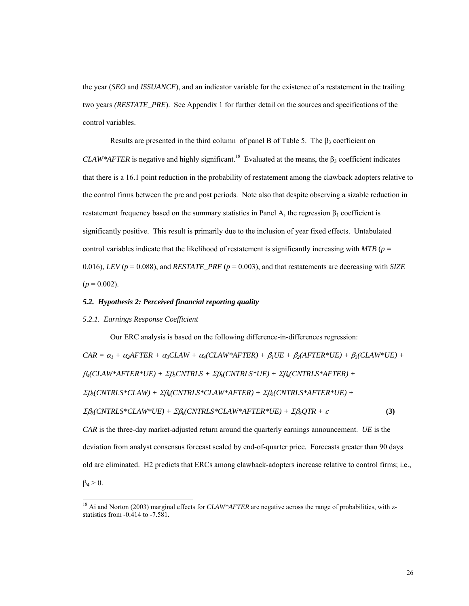the year (*SEO* and *ISSUANCE*), and an indicator variable for the existence of a restatement in the trailing two years *(RESTATE\_PRE*). See Appendix 1 for further detail on the sources and specifications of the control variables.

Results are presented in the third column of panel B of Table 5. The  $\beta_3$  coefficient on *CLAW\*AFTER* is negative and highly significant.<sup>18</sup> Evaluated at the means, the  $\beta_3$  coefficient indicates that there is a 16.1 point reduction in the probability of restatement among the clawback adopters relative to the control firms between the pre and post periods. Note also that despite observing a sizable reduction in restatement frequency based on the summary statistics in Panel A, the regression  $β_1$  coefficient is significantly positive. This result is primarily due to the inclusion of year fixed effects. Untabulated control variables indicate that the likelihood of restatement is significantly increasing with  $MTB$  ( $p =$ 0.016), *LEV* ( $p = 0.088$ ), and *RESTATE PRE* ( $p = 0.003$ ), and that restatements are decreasing with *SIZE*  $(p = 0.002)$ .

#### *5.2. Hypothesis 2: Perceived financial reporting quality*

#### *5.2.1. Earnings Response Coefficient*

l

Our ERC analysis is based on the following difference-in-differences regression:  $CAR = \alpha_1 + \alpha_2$ AFTER +  $\alpha_3$ CLAW +  $\alpha_4$ (CLAW\*AFTER) +  $\beta_1$ UE +  $\beta_2$ (AFTER\*UE) +  $\beta_3$ (CLAW\*UE) + β*4(CLAW\*AFTER\*UE) +* Σβ*kCNTRLS +* Σβ*k(CNTRLS\*UE) +* Σβ*k(CNTRLS\*AFTER) +*  Σβ*k(CNTRLS\*CLAW) +* Σβ*k(CNTRLS\*CLAW\*AFTER) +* Σβ*k(CNTRLS\*AFTER\*UE) +*   $\Sigma \beta_k(CNTRLS^*CLAW^*UE) + \Sigma \beta_k(CNTRLS^*CLAW^*AFTER^*UE) + \Sigma \beta_kQTR + \varepsilon$  (3) *CAR* is the three-day market-adjusted return around the quarterly earnings announcement. *UE* is the deviation from analyst consensus forecast scaled by end-of-quarter price. Forecasts greater than 90 days old are eliminated. H2 predicts that ERCs among clawback-adopters increase relative to control firms; i.e.,  $β<sub>4</sub> > 0$ .

<sup>&</sup>lt;sup>18</sup> Ai and Norton (2003) marginal effects for *CLAW\*AFTER* are negative across the range of probabilities, with zstatistics from -0.414 to -7.581.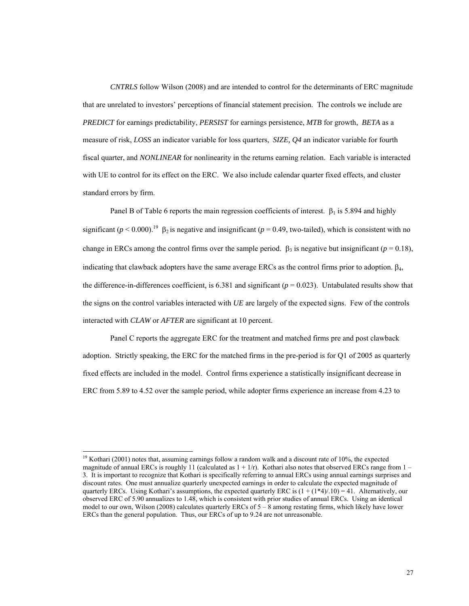*CNTRLS* follow Wilson (2008) and are intended to control for the determinants of ERC magnitude that are unrelated to investors' perceptions of financial statement precision. The controls we include are *PREDICT* for earnings predictability, *PERSIST* for earnings persistence, *MTB* for growth, *BETA* as a measure of risk, *LOSS* an indicator variable for loss quarters, *SIZE, Q4* an indicator variable for fourth fiscal quarter, and *NONLINEAR* for nonlinearity in the returns earning relation. Each variable is interacted with UE to control for its effect on the ERC. We also include calendar quarter fixed effects, and cluster standard errors by firm.

Panel B of Table 6 reports the main regression coefficients of interest.  $\beta_1$  is 5.894 and highly significant ( $p < 0.000$ ).<sup>19</sup> β<sub>2</sub> is negative and insignificant ( $p = 0.49$ , two-tailed), which is consistent with no change in ERCs among the control firms over the sample period.  $\beta_3$  is negative but insignificant ( $p = 0.18$ ), indicating that clawback adopters have the same average ERCs as the control firms prior to adoption.  $\beta_4$ , the difference-in-differences coefficient, is  $6.381$  and significant ( $p = 0.023$ ). Untabulated results show that the signs on the control variables interacted with *UE* are largely of the expected signs. Few of the controls interacted with *CLAW* or *AFTER* are significant at 10 percent.

Panel C reports the aggregate ERC for the treatment and matched firms pre and post clawback adoption. Strictly speaking, the ERC for the matched firms in the pre-period is for Q1 of 2005 as quarterly fixed effects are included in the model. Control firms experience a statistically insignificant decrease in ERC from 5.89 to 4.52 over the sample period, while adopter firms experience an increase from 4.23 to

 $\overline{a}$ 

<sup>&</sup>lt;sup>19</sup> Kothari (2001) notes that, assuming earnings follow a random walk and a discount rate of 10%, the expected magnitude of annual ERCs is roughly 11 (calculated as  $1 + 1/r$ ). Kothari also notes that observed ERCs range from  $1 -$ 3. It is important to recognize that Kothari is specifically referring to annual ERCs using annual earnings surprises and discount rates. One must annualize quarterly unexpected earnings in order to calculate the expected magnitude of quarterly ERCs. Using Kothari's assumptions, the expected quarterly ERC is  $(1 + (1*4)/.10) = 41$ . Alternatively, our observed ERC of 5.90 annualizes to 1.48, which is consistent with prior studies of annual ERCs. Using an identical model to our own, Wilson (2008) calculates quarterly ERCs of  $5 - 8$  among restating firms, which likely have lower ERCs than the general population. Thus, our ERCs of up to 9.24 are not unreasonable.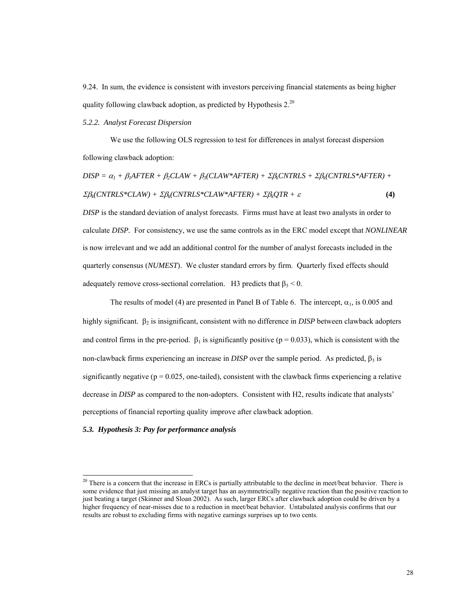9.24. In sum, the evidence is consistent with investors perceiving financial statements as being higher quality following clawback adoption, as predicted by Hypothesis  $2^{20}$ 

*5.2.2. Analyst Forecast Dispersion* 

We use the following OLS regression to test for differences in analyst forecast dispersion following clawback adoption:

$$
DISP = \alpha_I + \beta_I AFTER + \beta_2 CLAW + \beta_3 (CLAW*AFTER) + \Sigma \beta_k CNTRLS + \Sigma \beta_k (CNTRLS*AFTER) + \Sigma \beta_k (CNTRLS*CLAW) + \Sigma \beta_k (CNTRLS*CLAW*AFTER) + \Sigma \beta_k QTR + \varepsilon
$$
\n(4)

*DISP* is the standard deviation of analyst forecasts. Firms must have at least two analysts in order to calculate *DISP.* For consistency, we use the same controls as in the ERC model except that *NONLINEAR* is now irrelevant and we add an additional control for the number of analyst forecasts included in the quarterly consensus (*NUMEST*). We cluster standard errors by firm. Quarterly fixed effects should adequately remove cross-sectional correlation. H3 predicts that  $\beta_3 < 0$ .

The results of model (4) are presented in Panel B of Table 6. The intercept,  $\alpha_1$ , is 0.005 and highly significant. β<sub>2</sub> is insignificant, consistent with no difference in *DISP* between clawback adopters and control firms in the pre-period.  $\beta_1$  is significantly positive (p = 0.033), which is consistent with the non-clawback firms experiencing an increase in *DISP* over the sample period. As predicted,  $\beta_3$  is significantly negative ( $p = 0.025$ , one-tailed), consistent with the clawback firms experiencing a relative decrease in *DISP* as compared to the non-adopters. Consistent with H2, results indicate that analysts' perceptions of financial reporting quality improve after clawback adoption.

### *5.3. Hypothesis 3: Pay for performance analysis*

 $\overline{a}$ 

 $20$  There is a concern that the increase in ERCs is partially attributable to the decline in meet/beat behavior. There is some evidence that just missing an analyst target has an asymmetrically negative reaction than the positive reaction to just beating a target (Skinner and Sloan 2002). As such, larger ERCs after clawback adoption could be driven by a higher frequency of near-misses due to a reduction in meet/beat behavior. Untabulated analysis confirms that our results are robust to excluding firms with negative earnings surprises up to two cents.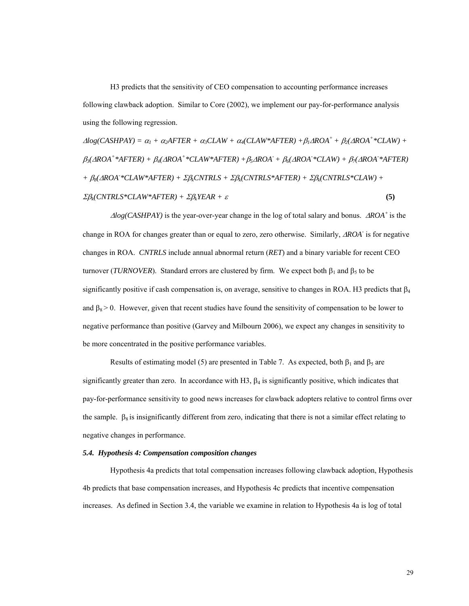H3 predicts that the sensitivity of CEO compensation to accounting performance increases following clawback adoption. Similar to Core (2002), we implement our pay-for-performance analysis using the following regression.

 $\Delta log(CASHPAY) = \alpha_1 + \alpha_2 AFTER + \alpha_3 CLAW + \alpha_4 (CLAW^*AFFTER) + \beta_1 \Delta ROA^+ + \beta_2(\Delta ROA^**CLAW) +$  $\beta_3$ ( $\triangle ROA^+$ \* $\triangle AFTER)$  +  $\beta_4$ ( $\triangle ROA^+$ \* $CLAW^*AFTER)$  +  $\beta_5\triangle ROA^+$  +  $\beta_6$ ( $\triangle ROA^*$ \* $CLAW)$  +  $\beta_7$ ( $\triangle ROA^*AFTER)$ *+* β*8(*Δ*ROA- \*CLAW\*AFTER) +* Σβ*kCNTRLS +* Σβ*k(CNTRLS\*AFTER) +* Σβ*k(CNTRLS\*CLAW) +*   $\Sigma \beta_k$ (CNTRLS\*CLAW\*AFTER) +  $\Sigma \beta_k$ YEAR +  $\varepsilon$  **(5) (5)** 

<sup>Δ</sup>*log(CASHPAY)* is the year-over-year change in the log of total salary and bonus. Δ*ROA+* is the change in ROA for changes greater than or equal to zero, zero otherwise. Similarly, Δ*ROA-* is for negative changes in ROA. *CNTRLS* include annual abnormal return (*RET*) and a binary variable for recent CEO turnover (*TURNOVER*). Standard errors are clustered by firm. We expect both  $β_1$  and  $β_5$  to be significantly positive if cash compensation is, on average, sensitive to changes in ROA. H3 predicts that  $\beta_4$ and  $\beta_8 > 0$ . However, given that recent studies have found the sensitivity of compensation to be lower to negative performance than positive (Garvey and Milbourn 2006), we expect any changes in sensitivity to be more concentrated in the positive performance variables.

Results of estimating model (5) are presented in Table 7. As expected, both  $\beta_1$  and  $\beta_5$  are significantly greater than zero. In accordance with H3,  $\beta_4$  is significantly positive, which indicates that pay-for-performance sensitivity to good news increases for clawback adopters relative to control firms over the sample.  $\beta_8$  is insignificantly different from zero, indicating that there is not a similar effect relating to negative changes in performance.

#### *5.4. Hypothesis 4: Compensation composition changes*

Hypothesis 4a predicts that total compensation increases following clawback adoption, Hypothesis 4b predicts that base compensation increases, and Hypothesis 4c predicts that incentive compensation increases. As defined in Section 3.4, the variable we examine in relation to Hypothesis 4a is log of total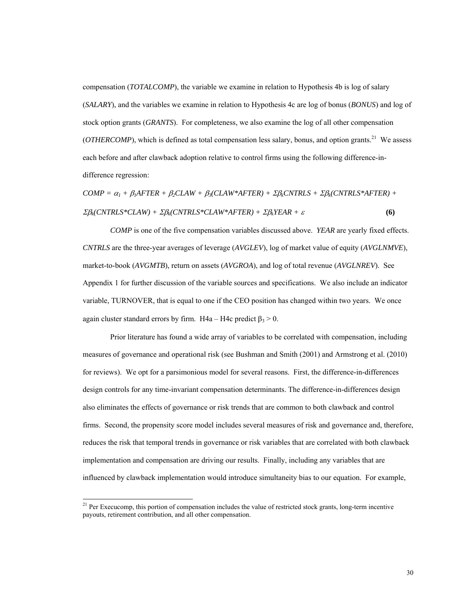compensation (*TOTALCOMP*), the variable we examine in relation to Hypothesis 4b is log of salary (*SALARY*), and the variables we examine in relation to Hypothesis 4c are log of bonus (*BONUS*) and log of stock option grants (*GRANTS*). For completeness, we also examine the log of all other compensation  $(OTHERCOMP)$ , which is defined as total compensation less salary, bonus, and option grants.<sup>21</sup> We assess each before and after clawback adoption relative to control firms using the following difference-indifference regression:

 $COMP = \alpha_1 + \beta_1 AFTER + \beta_2 CLAW + \beta_3 (CLAW*AFTER) + \Sigma \beta_k CNTRLS + \Sigma \beta_k (CNTRLS*AFTER) +$  $\Sigma \beta_k(CNTRLS*CLAW) + \Sigma \beta_k(CNTRLS*CLAW*AFTER) + \Sigma \beta_kYEAR + \varepsilon$  (6)

*COMP* is one of the five compensation variables discussed above. *YEAR* are yearly fixed effects. *CNTRLS* are the three-year averages of leverage (*AVGLEV*), log of market value of equity (*AVGLNMVE*), market-to-book (*AVGMTB*), return on assets (*AVGROA*), and log of total revenue (*AVGLNREV*). See Appendix 1 for further discussion of the variable sources and specifications. We also include an indicator variable, TURNOVER, that is equal to one if the CEO position has changed within two years. We once again cluster standard errors by firm. H4a – H4c predict  $\beta_3 > 0$ .

Prior literature has found a wide array of variables to be correlated with compensation, including measures of governance and operational risk (see Bushman and Smith (2001) and Armstrong et al. (2010) for reviews). We opt for a parsimonious model for several reasons. First, the difference-in-differences design controls for any time-invariant compensation determinants. The difference-in-differences design also eliminates the effects of governance or risk trends that are common to both clawback and control firms. Second, the propensity score model includes several measures of risk and governance and, therefore, reduces the risk that temporal trends in governance or risk variables that are correlated with both clawback implementation and compensation are driving our results. Finally, including any variables that are influenced by clawback implementation would introduce simultaneity bias to our equation. For example,

l

 $21$  Per Execucomp, this portion of compensation includes the value of restricted stock grants, long-term incentive payouts, retirement contribution, and all other compensation.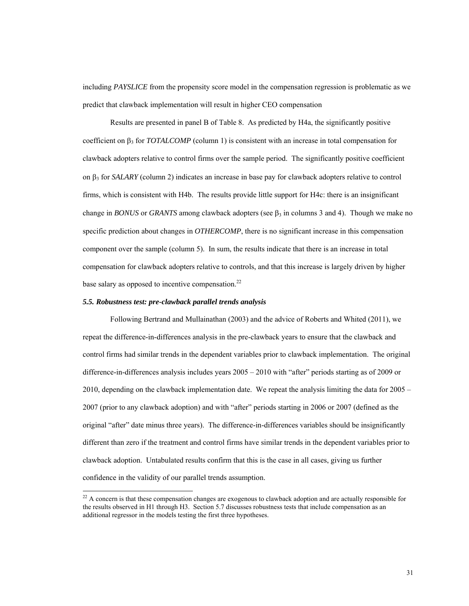including *PAYSLICE* from the propensity score model in the compensation regression is problematic as we predict that clawback implementation will result in higher CEO compensation

Results are presented in panel B of Table 8. As predicted by H4a, the significantly positive coefficient on  $\beta_3$  for *TOTALCOMP* (column 1) is consistent with an increase in total compensation for clawback adopters relative to control firms over the sample period. The significantly positive coefficient on β3 for *SALARY* (column 2) indicates an increase in base pay for clawback adopters relative to control firms, which is consistent with H4b. The results provide little support for H4c: there is an insignificant change in *BONUS* or *GRANTS* among clawback adopters (see  $\beta_3$  in columns 3 and 4). Though we make no specific prediction about changes in *OTHERCOMP*, there is no significant increase in this compensation component over the sample (column 5). In sum, the results indicate that there is an increase in total compensation for clawback adopters relative to controls, and that this increase is largely driven by higher base salary as opposed to incentive compensation.<sup>22</sup>

#### *5.5. Robustness test: pre-clawback parallel trends analysis*

 $\overline{a}$ 

Following Bertrand and Mullainathan (2003) and the advice of Roberts and Whited (2011), we repeat the difference-in-differences analysis in the pre-clawback years to ensure that the clawback and control firms had similar trends in the dependent variables prior to clawback implementation. The original difference-in-differences analysis includes years 2005 – 2010 with "after" periods starting as of 2009 or 2010, depending on the clawback implementation date. We repeat the analysis limiting the data for 2005 – 2007 (prior to any clawback adoption) and with "after" periods starting in 2006 or 2007 (defined as the original "after" date minus three years). The difference-in-differences variables should be insignificantly different than zero if the treatment and control firms have similar trends in the dependent variables prior to clawback adoption. Untabulated results confirm that this is the case in all cases, giving us further confidence in the validity of our parallel trends assumption.

 $22$  A concern is that these compensation changes are exogenous to clawback adoption and are actually responsible for the results observed in H1 through H3. Section 5.7 discusses robustness tests that include compensation as an additional regressor in the models testing the first three hypotheses.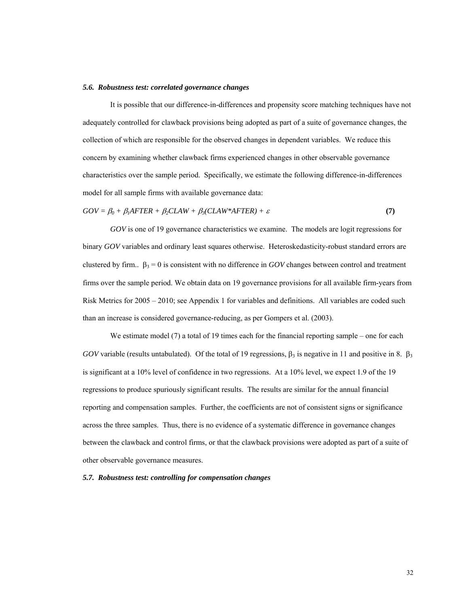#### *5.6. Robustness test: correlated governance changes*

 It is possible that our difference-in-differences and propensity score matching techniques have not adequately controlled for clawback provisions being adopted as part of a suite of governance changes, the collection of which are responsible for the observed changes in dependent variables. We reduce this concern by examining whether clawback firms experienced changes in other observable governance characteristics over the sample period. Specifically, we estimate the following difference-in-differences model for all sample firms with available governance data:

 $GOV = \beta_0 + \beta_1 A FTER + \beta_2 CLAW + \beta_3 (CLAW^* A FTER) + \varepsilon$  (7)

 *GOV* is one of 19 governance characteristics we examine. The models are logit regressions for binary *GOV* variables and ordinary least squares otherwise. Heteroskedasticity-robust standard errors are clustered by firm..  $\beta_3 = 0$  is consistent with no difference in *GOV* changes between control and treatment firms over the sample period. We obtain data on 19 governance provisions for all available firm-years from Risk Metrics for 2005 – 2010; see Appendix 1 for variables and definitions. All variables are coded such than an increase is considered governance-reducing, as per Gompers et al. (2003).

We estimate model (7) a total of 19 times each for the financial reporting sample – one for each *GOV* variable (results untabulated). Of the total of 19 regressions,  $\beta_3$  is negative in 11 and positive in 8.  $\beta_3$ is significant at a 10% level of confidence in two regressions. At a 10% level, we expect 1.9 of the 19 regressions to produce spuriously significant results. The results are similar for the annual financial reporting and compensation samples. Further, the coefficients are not of consistent signs or significance across the three samples. Thus, there is no evidence of a systematic difference in governance changes between the clawback and control firms, or that the clawback provisions were adopted as part of a suite of other observable governance measures.

### *5.7. Robustness test: controlling for compensation changes*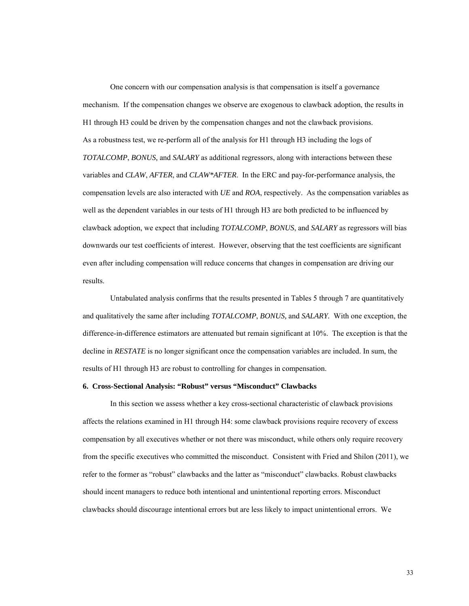One concern with our compensation analysis is that compensation is itself a governance mechanism. If the compensation changes we observe are exogenous to clawback adoption, the results in H1 through H3 could be driven by the compensation changes and not the clawback provisions. As a robustness test, we re-perform all of the analysis for H1 through H3 including the logs of *TOTALCOMP*, *BONUS,* and *SALARY* as additional regressors, along with interactions between these variables and *CLAW*, *AFTER*, and *CLAW\*AFTER*. In the ERC and pay-for-performance analysis, the compensation levels are also interacted with *UE* and *ROA*, respectively. As the compensation variables as well as the dependent variables in our tests of H1 through H3 are both predicted to be influenced by clawback adoption, we expect that including *TOTALCOMP*, *BONUS*, and *SALARY* as regressors will bias downwards our test coefficients of interest. However, observing that the test coefficients are significant even after including compensation will reduce concerns that changes in compensation are driving our results.

 Untabulated analysis confirms that the results presented in Tables 5 through 7 are quantitatively and qualitatively the same after including *TOTALCOMP*, *BONUS,* and *SALARY.* With one exception, the difference-in-difference estimators are attenuated but remain significant at 10%. The exception is that the decline in *RESTATE* is no longer significant once the compensation variables are included. In sum, the results of H1 through H3 are robust to controlling for changes in compensation.

#### **6. Cross-Sectional Analysis: "Robust" versus "Misconduct" Clawbacks**

 In this section we assess whether a key cross-sectional characteristic of clawback provisions affects the relations examined in H1 through H4: some clawback provisions require recovery of excess compensation by all executives whether or not there was misconduct, while others only require recovery from the specific executives who committed the misconduct. Consistent with Fried and Shilon (2011), we refer to the former as "robust" clawbacks and the latter as "misconduct" clawbacks. Robust clawbacks should incent managers to reduce both intentional and unintentional reporting errors. Misconduct clawbacks should discourage intentional errors but are less likely to impact unintentional errors. We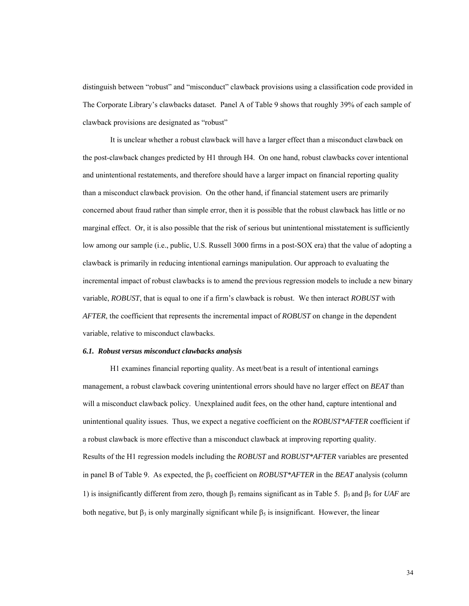distinguish between "robust" and "misconduct" clawback provisions using a classification code provided in The Corporate Library's clawbacks dataset. Panel A of Table 9 shows that roughly 39% of each sample of clawback provisions are designated as "robust"

It is unclear whether a robust clawback will have a larger effect than a misconduct clawback on the post-clawback changes predicted by H1 through H4. On one hand, robust clawbacks cover intentional and unintentional restatements, and therefore should have a larger impact on financial reporting quality than a misconduct clawback provision. On the other hand, if financial statement users are primarily concerned about fraud rather than simple error, then it is possible that the robust clawback has little or no marginal effect. Or, it is also possible that the risk of serious but unintentional misstatement is sufficiently low among our sample (i.e., public, U.S. Russell 3000 firms in a post-SOX era) that the value of adopting a clawback is primarily in reducing intentional earnings manipulation. Our approach to evaluating the incremental impact of robust clawbacks is to amend the previous regression models to include a new binary variable, *ROBUST*, that is equal to one if a firm's clawback is robust. We then interact *ROBUST* with *AFTER*, the coefficient that represents the incremental impact of *ROBUST* on change in the dependent variable, relative to misconduct clawbacks.

#### *6.1. Robust versus misconduct clawbacks analysis*

 H1 examines financial reporting quality. As meet/beat is a result of intentional earnings management, a robust clawback covering unintentional errors should have no larger effect on *BEAT* than will a misconduct clawback policy. Unexplained audit fees, on the other hand, capture intentional and unintentional quality issues. Thus, we expect a negative coefficient on the *ROBUST\*AFTER* coefficient if a robust clawback is more effective than a misconduct clawback at improving reporting quality. Results of the H1 regression models including the *ROBUST* and *ROBUST\*AFTER* variables are presented in panel B of Table 9. As expected, the  $\beta_5$  coefficient on *ROBUST\*AFTER* in the *BEAT* analysis (column 1) is insignificantly different from zero, though  $β_3$  remains significant as in Table 5.  $β_3$  and  $β_5$  for *UAF* are both negative, but  $\beta_3$  is only marginally significant while  $\beta_5$  is insignificant. However, the linear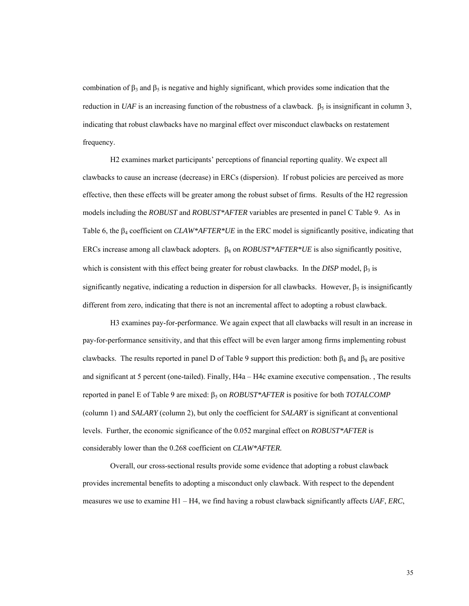combination of  $\beta_3$  and  $\beta_5$  is negative and highly significant, which provides some indication that the reduction in *UAF* is an increasing function of the robustness of a clawback.  $\beta_5$  is insignificant in column 3, indicating that robust clawbacks have no marginal effect over misconduct clawbacks on restatement frequency.

H2 examines market participants' perceptions of financial reporting quality. We expect all clawbacks to cause an increase (decrease) in ERCs (dispersion). If robust policies are perceived as more effective, then these effects will be greater among the robust subset of firms. Results of the H2 regression models including the *ROBUST* and *ROBUST\*AFTER* variables are presented in panel C Table 9. As in Table 6, the β4 coefficient on *CLAW\*AFTER\*UE* in the ERC model is significantly positive, indicating that ERCs increase among all clawback adopters. β<sub>8</sub> on *ROBUST\*AFTER\*UE* is also significantly positive, which is consistent with this effect being greater for robust clawbacks. In the *DISP* model,  $\beta_3$  is significantly negative, indicating a reduction in dispersion for all clawbacks. However,  $\beta_5$  is insignificantly different from zero, indicating that there is not an incremental affect to adopting a robust clawback.

 H3 examines pay-for-performance. We again expect that all clawbacks will result in an increase in pay-for-performance sensitivity, and that this effect will be even larger among firms implementing robust clawbacks. The results reported in panel D of Table 9 support this prediction: both  $\beta_4$  and  $\beta_8$  are positive and significant at 5 percent (one-tailed). Finally, H4a – H4c examine executive compensation. , The results reported in panel E of Table 9 are mixed: β5 on *ROBUST\*AFTER* is positive for both *TOTALCOMP*  (column 1) and *SALARY* (column 2), but only the coefficient for *SALARY* is significant at conventional levels. Further, the economic significance of the 0.052 marginal effect on *ROBUST\*AFTER* is considerably lower than the 0.268 coefficient on *CLAW\*AFTER.*

 Overall, our cross-sectional results provide some evidence that adopting a robust clawback provides incremental benefits to adopting a misconduct only clawback. With respect to the dependent measures we use to examine H1 – H4, we find having a robust clawback significantly affects *UAF*, *ERC*,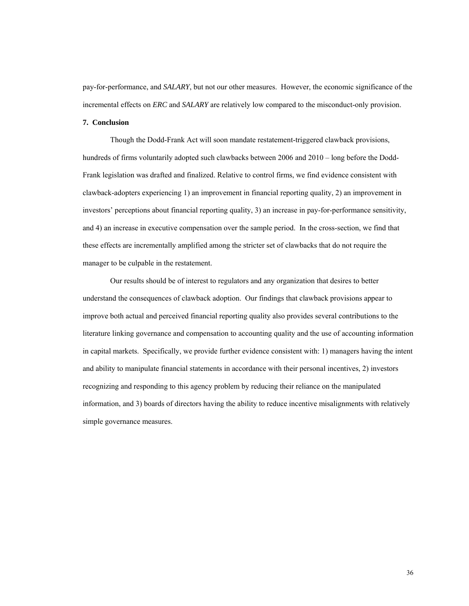pay-for-performance, and *SALARY*, but not our other measures. However, the economic significance of the incremental effects on *ERC* and *SALARY* are relatively low compared to the misconduct-only provision.

### **7. Conclusion**

Though the Dodd-Frank Act will soon mandate restatement-triggered clawback provisions, hundreds of firms voluntarily adopted such clawbacks between 2006 and 2010 – long before the Dodd-Frank legislation was drafted and finalized. Relative to control firms, we find evidence consistent with clawback-adopters experiencing 1) an improvement in financial reporting quality, 2) an improvement in investors' perceptions about financial reporting quality, 3) an increase in pay-for-performance sensitivity, and 4) an increase in executive compensation over the sample period. In the cross-section, we find that these effects are incrementally amplified among the stricter set of clawbacks that do not require the manager to be culpable in the restatement.

Our results should be of interest to regulators and any organization that desires to better understand the consequences of clawback adoption. Our findings that clawback provisions appear to improve both actual and perceived financial reporting quality also provides several contributions to the literature linking governance and compensation to accounting quality and the use of accounting information in capital markets. Specifically, we provide further evidence consistent with: 1) managers having the intent and ability to manipulate financial statements in accordance with their personal incentives, 2) investors recognizing and responding to this agency problem by reducing their reliance on the manipulated information, and 3) boards of directors having the ability to reduce incentive misalignments with relatively simple governance measures.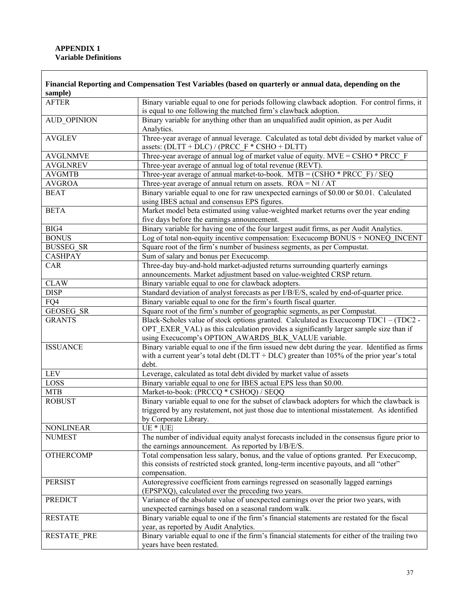## **APPENDIX 1 Variable Definitions**

| sample)            | Financial Reporting and Compensation Test Variables (based on quarterly or annual data, depending on the                                                       |
|--------------------|----------------------------------------------------------------------------------------------------------------------------------------------------------------|
| <b>AFTER</b>       | Binary variable equal to one for periods following clawback adoption. For control firms, it<br>is equal to one following the matched firm's clawback adoption. |
| <b>AUD_OPINION</b> | Binary variable for anything other than an unqualified audit opinion, as per Audit<br>Analytics.                                                               |
| <b>AVGLEV</b>      | Three-year average of annual leverage. Calculated as total debt divided by market value of<br>assets: $(DLTT + DLC) / (PRCC_F * CSHO + DLTT)$                  |
| <b>AVGLNMVE</b>    | Three-year average of annual log of market value of equity. $MVE = CSHO * PRCC F$                                                                              |
| <b>AVGLNREV</b>    | Three-year average of annual log of total revenue (REVT).                                                                                                      |
| <b>AVGMTB</b>      | Three-year average of annual market-to-book. $MTB = (CSHO * PRCC F) / SEQ$                                                                                     |
| <b>AVGROA</b>      | Three-year average of annual return on assets. $ROA = NI / AT$                                                                                                 |
| <b>BEAT</b>        | Binary variable equal to one for raw unexpected earnings of \$0.00 or \$0.01. Calculated<br>using IBES actual and consensus EPS figures.                       |
| <b>BETA</b>        | Market model beta estimated using value-weighted market returns over the year ending<br>five days before the earnings announcement.                            |
| BIG4               | Binary variable for having one of the four largest audit firms, as per Audit Analytics.                                                                        |
| <b>BONUS</b>       | Log of total non-equity incentive compensation: Execucomp BONUS + NONEQ INCENT                                                                                 |
| <b>BUSSEG SR</b>   | Square root of the firm's number of business segments, as per Compustat.                                                                                       |
| <b>CASHPAY</b>     | Sum of salary and bonus per Execucomp.                                                                                                                         |
| CAR                | Three-day buy-and-hold market-adjusted returns surrounding quarterly earnings<br>announcements. Market adjustment based on value-weighted CRSP return.         |
| <b>CLAW</b>        | Binary variable equal to one for clawback adopters.                                                                                                            |
| <b>DISP</b>        | Standard deviation of analyst forecasts as per I/B/E/S, scaled by end-of-quarter price.                                                                        |
| FQ4                | Binary variable equal to one for the firm's fourth fiscal quarter.                                                                                             |
| <b>GEOSEG SR</b>   | Square root of the firm's number of geographic segments, as per Compustat.                                                                                     |
| <b>GRANTS</b>      | Black-Scholes value of stock options granted. Calculated as Execucomp TDC1 - (TDC2 -                                                                           |
|                    | OPT EXER VAL) as this calculation provides a significantly larger sample size than if<br>using Execucomp's OPTION_AWARDS_BLK_VALUE variable.                   |
| <b>ISSUANCE</b>    | Binary variable equal to one if the firm issued new debt during the year. Identified as firms                                                                  |
|                    | with a current year's total debt ( $DLT + DLC$ ) greater than 105% of the prior year's total<br>debt.                                                          |
| <b>LEV</b>         | Leverage, calculated as total debt divided by market value of assets                                                                                           |
| LOSS               | Binary variable equal to one for IBES actual EPS less than \$0.00.                                                                                             |
| <b>MTB</b>         | Market-to-book: (PRCCQ * CSHOQ) / SEQQ                                                                                                                         |
| <b>ROBUST</b>      | Binary variable equal to one for the subset of clawback adopters for which the clawback is                                                                     |
|                    | triggered by any restatement, not just those due to intentional misstatement. As identified<br>by Corporate Library.                                           |
| <b>NONLINEAR</b>   | $UE *  UE $                                                                                                                                                    |
| <b>NUMEST</b>      | The number of individual equity analyst forecasts included in the consensus figure prior to                                                                    |
|                    | the earnings announcement. As reported by I/B/E/S.                                                                                                             |
| <b>OTHERCOMP</b>   | Total compensation less salary, bonus, and the value of options granted. Per Execucomp,                                                                        |
|                    | this consists of restricted stock granted, long-term incentive payouts, and all "other"                                                                        |
|                    | compensation.                                                                                                                                                  |
| <b>PERSIST</b>     | Autoregressive coefficient from earnings regressed on seasonally lagged earnings<br>(EPSPXQ), calculated over the preceding two years.                         |
| <b>PREDICT</b>     | Variance of the absolute value of unexpected earnings over the prior two years, with                                                                           |
|                    | unexpected earnings based on a seasonal random walk.                                                                                                           |
| <b>RESTATE</b>     | Binary variable equal to one if the firm's financial statements are restated for the fiscal                                                                    |
|                    | year, as reported by Audit Analytics.                                                                                                                          |
| <b>RESTATE_PRE</b> | Binary variable equal to one if the firm's financial statements for either of the trailing two                                                                 |
|                    | years have been restated.                                                                                                                                      |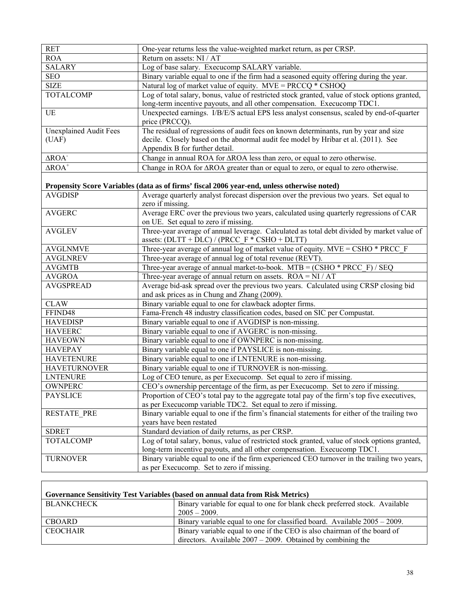| <b>RET</b>                    | One-year returns less the value-weighted market return, as per CRSP.                                              |
|-------------------------------|-------------------------------------------------------------------------------------------------------------------|
| <b>ROA</b>                    | Return on assets: NI / AT                                                                                         |
| <b>SALARY</b>                 | Log of base salary. Execucomp SALARY variable.                                                                    |
| <b>SEO</b>                    | Binary variable equal to one if the firm had a seasoned equity offering during the year.                          |
| <b>SIZE</b>                   | Natural log of market value of equity. $MVE = PRCCQ * CSHOQ$                                                      |
| <b>TOTALCOMP</b>              | Log of total salary, bonus, value of restricted stock granted, value of stock options granted,                    |
|                               | long-term incentive payouts, and all other compensation. Execucomp TDC1.                                          |
| UE                            | Unexpected earnings. I/B/E/S actual EPS less analyst consensus, scaled by end-of-quarter                          |
|                               | price (PRCCQ).                                                                                                    |
| <b>Unexplained Audit Fees</b> | The residual of regressions of audit fees on known determinants, run by year and size                             |
| (UAF)                         | decile. Closely based on the abnormal audit fee model by Hribar et al. (2011). See                                |
|                               | Appendix B for further detail.                                                                                    |
| ΔROA <sup>-</sup>             | Change in annual ROA for $\triangle$ ROA less than zero, or equal to zero otherwise.                              |
| $\triangle$ ROA <sup>+</sup>  | Change in ROA for $\triangle$ ROA greater than or equal to zero, or equal to zero otherwise.                      |
|                               | Propensity Score Variables (data as of firms' fiscal 2006 year-end, unless otherwise noted)                       |
| <b>AVGDISP</b>                | Average quarterly analyst forecast dispersion over the previous two years. Set equal to                           |
|                               | zero if missing.                                                                                                  |
| <b>AVGERC</b>                 | Average ERC over the previous two years, calculated using quarterly regressions of CAR                            |
|                               | on UE. Set equal to zero if missing.                                                                              |
| <b>AVGLEV</b>                 | Three-year average of annual leverage. Calculated as total debt divided by market value of                        |
|                               | assets: $(DLTT + DLC) / (PRCC F * CSHO + DLTT)$                                                                   |
| <b>AVGLNMVE</b>               | Three-year average of annual log of market value of equity. $MVE = CSHO * PRCC$ F                                 |
| <b>AVGLNREV</b>               | Three-year average of annual log of total revenue (REVT).                                                         |
| <b>AVGMTB</b>                 | Three-year average of annual market-to-book. $MTB = (CSHO * PRCC F) / SEQ$                                        |
| <b>AVGROA</b>                 | Three-year average of annual return on assets. $ROA = NI / AT$                                                    |
| <b>AVGSPREAD</b>              | Average bid-ask spread over the previous two years. Calculated using CRSP closing bid                             |
|                               | and ask prices as in Chung and Zhang (2009).                                                                      |
| <b>CLAW</b><br>FFIND48        | Binary variable equal to one for clawback adopter firms.                                                          |
| <b>HAVEDISP</b>               | Fama-French 48 industry classification codes, based on SIC per Compustat.                                         |
| <b>HAVEERC</b>                | Binary variable equal to one if AVGDISP is non-missing.<br>Binary variable equal to one if AVGERC is non-missing. |
| <b>HAVEOWN</b>                | Binary variable equal to one if OWNPERC is non-missing.                                                           |
| <b>HAVEPAY</b>                | Binary variable equal to one if PAYSLICE is non-missing.                                                          |
| <b>HAVETENURE</b>             | Binary variable equal to one if LNTENURE is non-missing.                                                          |
| <b>HAVETURNOVER</b>           | Binary variable equal to one if TURNOVER is non-missing.                                                          |
| <b>LNTENURE</b>               | Log of CEO tenure, as per Execucomp. Set equal to zero if missing.                                                |
| OWNPERC                       | CEO's ownership percentage of the firm, as per Execucomp. Set to zero if missing.                                 |
| <b>PAYSLICE</b>               | Proportion of CEO's total pay to the aggregate total pay of the firm's top five executives,                       |
|                               | as per Execucomp variable TDC2. Set equal to zero if missing.                                                     |
| <b>RESTATE PRE</b>            | Binary variable equal to one if the firm's financial statements for either of the trailing two                    |
|                               | years have been restated                                                                                          |
| <b>SDRET</b>                  | Standard deviation of daily returns, as per CRSP.                                                                 |
| <b>TOTALCOMP</b>              | Log of total salary, bonus, value of restricted stock granted, value of stock options granted,                    |
|                               | long-term incentive payouts, and all other compensation. Execucomp TDC1.                                          |
| <b>TURNOVER</b>               | Binary variable equal to one if the firm experienced CEO turnover in the trailing two years,                      |
|                               | as per Execucomp. Set to zero if missing.                                                                         |

| Governance Sensitivity Test Variables (based on annual data from Risk Metrics) |                                                                              |  |  |  |  |  |
|--------------------------------------------------------------------------------|------------------------------------------------------------------------------|--|--|--|--|--|
| <b>BLANKCHECK</b>                                                              | Binary variable for equal to one for blank check preferred stock. Available  |  |  |  |  |  |
|                                                                                | $2005 - 2009$                                                                |  |  |  |  |  |
| <b>CBOARD</b>                                                                  | Binary variable equal to one for classified board. Available $2005 - 2009$ . |  |  |  |  |  |
| <b>CEOCHAIR</b>                                                                | Binary variable equal to one if the CEO is also chairman of the board of     |  |  |  |  |  |
|                                                                                | directors. Available $2007 - 2009$ . Obtained by combining the               |  |  |  |  |  |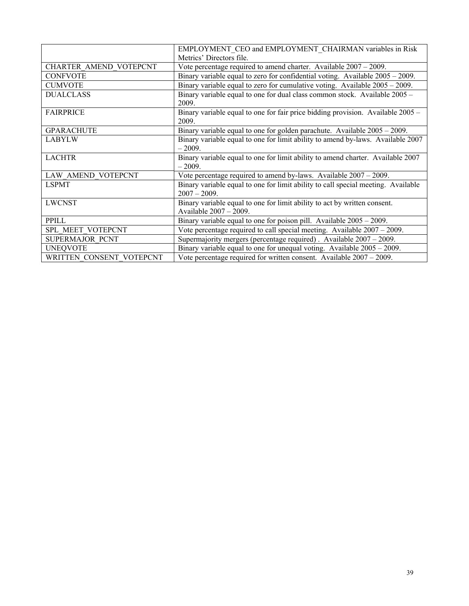|                               | EMPLOYMENT CEO and EMPLOYMENT CHAIRMAN variables in Risk                          |
|-------------------------------|-----------------------------------------------------------------------------------|
|                               | Metrics' Directors file.                                                          |
| <b>CHARTER AMEND VOTEPCNT</b> | Vote percentage required to amend charter. Available 2007 - 2009.                 |
| <b>CONFVOTE</b>               | Binary variable equal to zero for confidential voting. Available $2005 - 2009$ .  |
| <b>CUMVOTE</b>                | Binary variable equal to zero for cumulative voting. Available $2005 - 2009$ .    |
| <b>DUALCLASS</b>              | Binary variable equal to one for dual class common stock. Available 2005 -        |
|                               | 2009.                                                                             |
| <b>FAIRPRICE</b>              | Binary variable equal to one for fair price bidding provision. Available 2005 -   |
|                               | 2009.                                                                             |
| <b>GPARACHUTE</b>             | Binary variable equal to one for golden parachute. Available $2005 - 2009$ .      |
| <b>LABYLW</b>                 | Binary variable equal to one for limit ability to amend by-laws. Available 2007   |
|                               | $-2009.$                                                                          |
| <b>LACHTR</b>                 | Binary variable equal to one for limit ability to amend charter. Available 2007   |
|                               | $-2009.$                                                                          |
| LAW AMEND VOTEPCNT            | Vote percentage required to amend by-laws. Available $2007 - 2009$ .              |
| <b>LSPMT</b>                  | Binary variable equal to one for limit ability to call special meeting. Available |
|                               | $2007 - 2009$ .                                                                   |
| <b>LWCNST</b>                 | Binary variable equal to one for limit ability to act by written consent.         |
|                               | Available 2007 - 2009.                                                            |
| PPILL                         | Binary variable equal to one for poison pill. Available $2005 - 2009$ .           |
| SPL MEET VOTEPCNT             | Vote percentage required to call special meeting. Available $2007 - 2009$ .       |
| SUPERMAJOR PCNT               | Supermajority mergers (percentage required). Available 2007 - 2009.               |
| <b>UNEQVOTE</b>               | Binary variable equal to one for unequal voting. Available $2005 - 2009$ .        |
| WRITTEN CONSENT VOTEPCNT      | Vote percentage required for written consent. Available $2007 - 2009$ .           |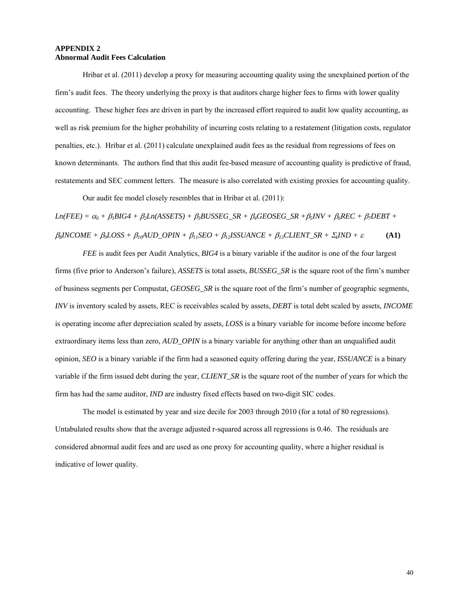### **APPENDIX 2 Abnormal Audit Fees Calculation**

 Hribar et al. (2011) develop a proxy for measuring accounting quality using the unexplained portion of the firm's audit fees. The theory underlying the proxy is that auditors charge higher fees to firms with lower quality accounting. These higher fees are driven in part by the increased effort required to audit low quality accounting, as well as risk premium for the higher probability of incurring costs relating to a restatement (litigation costs, regulator penalties, etc.). Hribar et al. (2011) calculate unexplained audit fees as the residual from regressions of fees on known determinants. The authors find that this audit fee-based measure of accounting quality is predictive of fraud, restatements and SEC comment letters. The measure is also correlated with existing proxies for accounting quality.

Our audit fee model closely resembles that in Hribar et al. (2011):

 $Ln(FEE) = \alpha_0 + \beta_1BIG4 + \beta_2Ln(ASSETS) + \beta_3BUSSEGS$   $SR + \beta_4GEOSEGSR + \beta_5INV + \beta_6REC + \beta_2DEBT + \beta_4BFGST$  $\beta_8$ *INCOME* +  $\beta_9$ *LOSS* +  $\beta_{10}$ *AUD\_OPIN* +  $\beta_{11}$ *SEO* +  $\beta_{12}$ *ISSUANCE* +  $\beta_{13}$ *CLIENT\_SR* +  $\sum_k N/D$  +  $\varepsilon$  **(A1)** 

*FEE* is audit fees per Audit Analytics, *BIG4* is a binary variable if the auditor is one of the four largest firms (five prior to Anderson's failure), *ASSETS* is total assets, *BUSSEG\_SR* is the square root of the firm's number of business segments per Compustat, *GEOSEG\_SR* is the square root of the firm's number of geographic segments, *INV* is inventory scaled by assets, REC is receivables scaled by assets, *DEBT* is total debt scaled by assets, *INCOME* is operating income after depreciation scaled by assets, *LOSS* is a binary variable for income before income before extraordinary items less than zero, *AUD\_OPIN* is a binary variable for anything other than an unqualified audit opinion, *SEO* is a binary variable if the firm had a seasoned equity offering during the year, *ISSUANCE* is a binary variable if the firm issued debt during the year, *CLIENT\_SR* is the square root of the number of years for which the firm has had the same auditor, *IND* are industry fixed effects based on two-digit SIC codes.

 The model is estimated by year and size decile for 2003 through 2010 (for a total of 80 regressions). Untabulated results show that the average adjusted r-squared across all regressions is 0.46. The residuals are considered abnormal audit fees and are used as one proxy for accounting quality, where a higher residual is indicative of lower quality.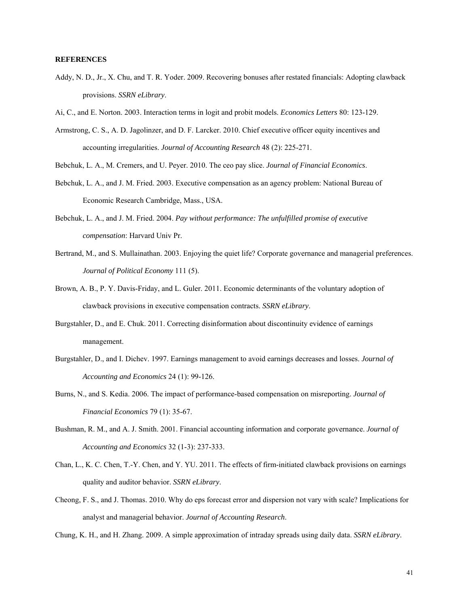### **REFERENCES**

- Addy, N. D., Jr., X. Chu, and T. R. Yoder. 2009. Recovering bonuses after restated financials: Adopting clawback provisions. *SSRN eLibrary*.
- Ai, C., and E. Norton. 2003. Interaction terms in logit and probit models. *Economics Letters* 80: 123-129.
- Armstrong, C. S., A. D. Jagolinzer, and D. F. Larcker. 2010. Chief executive officer equity incentives and accounting irregularities. *Journal of Accounting Research* 48 (2): 225-271.
- Bebchuk, L. A., M. Cremers, and U. Peyer. 2010. The ceo pay slice. *Journal of Financial Economics*.
- Bebchuk, L. A., and J. M. Fried. 2003. Executive compensation as an agency problem: National Bureau of Economic Research Cambridge, Mass., USA.
- Bebchuk, L. A., and J. M. Fried. 2004. *Pay without performance: The unfulfilled promise of executive compensation*: Harvard Univ Pr.
- Bertrand, M., and S. Mullainathan. 2003. Enjoying the quiet life? Corporate governance and managerial preferences. *Journal of Political Economy* 111 (5).
- Brown, A. B., P. Y. Davis-Friday, and L. Guler. 2011. Economic determinants of the voluntary adoption of clawback provisions in executive compensation contracts. *SSRN eLibrary*.
- Burgstahler, D., and E. Chuk. 2011. Correcting disinformation about discontinuity evidence of earnings management.
- Burgstahler, D., and I. Dichev. 1997. Earnings management to avoid earnings decreases and losses. *Journal of Accounting and Economics* 24 (1): 99-126.
- Burns, N., and S. Kedia. 2006. The impact of performance-based compensation on misreporting. *Journal of Financial Economics* 79 (1): 35-67.
- Bushman, R. M., and A. J. Smith. 2001. Financial accounting information and corporate governance. *Journal of Accounting and Economics* 32 (1-3): 237-333.
- Chan, L., K. C. Chen, T.-Y. Chen, and Y. YU. 2011. The effects of firm-initiated clawback provisions on earnings quality and auditor behavior. *SSRN eLibrary*.
- Cheong, F. S., and J. Thomas. 2010. Why do eps forecast error and dispersion not vary with scale? Implications for analyst and managerial behavior. *Journal of Accounting Research*.

Chung, K. H., and H. Zhang. 2009. A simple approximation of intraday spreads using daily data. *SSRN eLibrary*.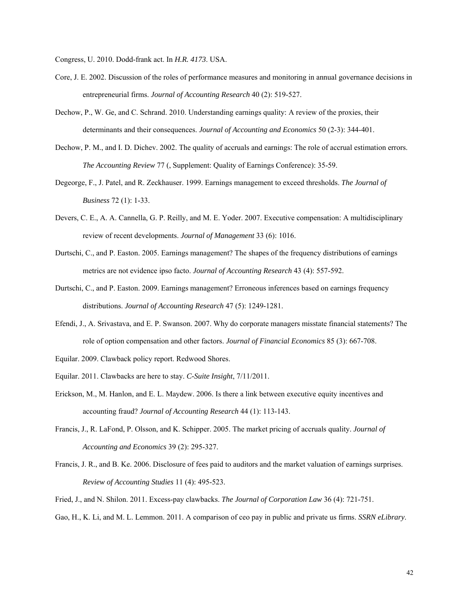Congress, U. 2010. Dodd-frank act. In *H.R. 4173*. USA.

- Core, J. E. 2002. Discussion of the roles of performance measures and monitoring in annual governance decisions in entrepreneurial firms. *Journal of Accounting Research* 40 (2): 519-527.
- Dechow, P., W. Ge, and C. Schrand. 2010. Understanding earnings quality: A review of the proxies, their determinants and their consequences. *Journal of Accounting and Economics* 50 (2-3): 344-401.
- Dechow, P. M., and I. D. Dichev. 2002. The quality of accruals and earnings: The role of accrual estimation errors. *The Accounting Review* 77 (, Supplement: Quality of Earnings Conference): 35-59.
- Degeorge, F., J. Patel, and R. Zeckhauser. 1999. Earnings management to exceed thresholds. *The Journal of Business* 72 (1): 1-33.
- Devers, C. E., A. A. Cannella, G. P. Reilly, and M. E. Yoder. 2007. Executive compensation: A multidisciplinary review of recent developments. *Journal of Management* 33 (6): 1016.
- Durtschi, C., and P. Easton. 2005. Earnings management? The shapes of the frequency distributions of earnings metrics are not evidence ipso facto. *Journal of Accounting Research* 43 (4): 557-592.
- Durtschi, C., and P. Easton. 2009. Earnings management? Erroneous inferences based on earnings frequency distributions. *Journal of Accounting Research* 47 (5): 1249-1281.
- Efendi, J., A. Srivastava, and E. P. Swanson. 2007. Why do corporate managers misstate financial statements? The role of option compensation and other factors. *Journal of Financial Economics* 85 (3): 667-708.
- Equilar. 2009. Clawback policy report. Redwood Shores.
- Equilar. 2011. Clawbacks are here to stay. *C-Suite Insight*, 7/11/2011.
- Erickson, M., M. Hanlon, and E. L. Maydew. 2006. Is there a link between executive equity incentives and accounting fraud? *Journal of Accounting Research* 44 (1): 113-143.
- Francis, J., R. LaFond, P. Olsson, and K. Schipper. 2005. The market pricing of accruals quality. *Journal of Accounting and Economics* 39 (2): 295-327.
- Francis, J. R., and B. Ke. 2006. Disclosure of fees paid to auditors and the market valuation of earnings surprises. *Review of Accounting Studies* 11 (4): 495-523.
- Fried, J., and N. Shilon. 2011. Excess-pay clawbacks. *The Journal of Corporation Law* 36 (4): 721-751.
- Gao, H., K. Li, and M. L. Lemmon. 2011. A comparison of ceo pay in public and private us firms. *SSRN eLibrary*.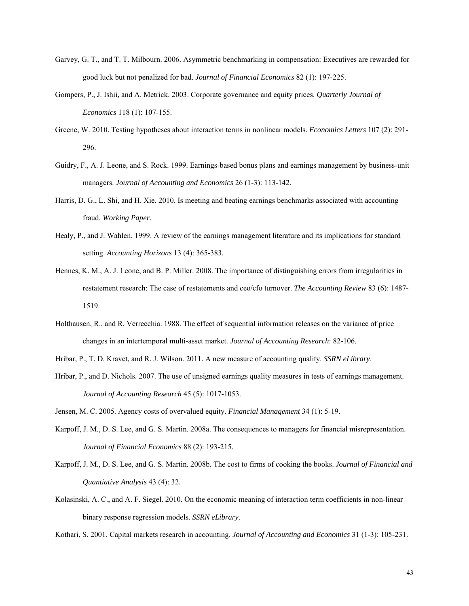- Garvey, G. T., and T. T. Milbourn. 2006. Asymmetric benchmarking in compensation: Executives are rewarded for good luck but not penalized for bad. *Journal of Financial Economics* 82 (1): 197-225.
- Gompers, P., J. Ishii, and A. Metrick. 2003. Corporate governance and equity prices. *Quarterly Journal of Economics* 118 (1): 107-155.
- Greene, W. 2010. Testing hypotheses about interaction terms in nonlinear models. *Economics Letters* 107 (2): 291- 296.
- Guidry, F., A. J. Leone, and S. Rock. 1999. Earnings-based bonus plans and earnings management by business-unit managers. *Journal of Accounting and Economics* 26 (1-3): 113-142.
- Harris, D. G., L. Shi, and H. Xie. 2010. Is meeting and beating earnings benchmarks associated with accounting fraud. *Working Paper*.
- Healy, P., and J. Wahlen. 1999. A review of the earnings management literature and its implications for standard setting. *Accounting Horizons* 13 (4): 365-383.
- Hennes, K. M., A. J. Leone, and B. P. Miller. 2008. The importance of distinguishing errors from irregularities in restatement research: The case of restatements and ceo/cfo turnover. *The Accounting Review* 83 (6): 1487- 1519.
- Holthausen, R., and R. Verrecchia. 1988. The effect of sequential information releases on the variance of price changes in an intertemporal multi-asset market. *Journal of Accounting Research*: 82-106.
- Hribar, P., T. D. Kravet, and R. J. Wilson. 2011. A new measure of accounting quality. *SSRN eLibrary*.
- Hribar, P., and D. Nichols. 2007. The use of unsigned earnings quality measures in tests of earnings management. *Journal of Accounting Research* 45 (5): 1017-1053.
- Jensen, M. C. 2005. Agency costs of overvalued equity. *Financial Management* 34 (1): 5-19.
- Karpoff, J. M., D. S. Lee, and G. S. Martin. 2008a. The consequences to managers for financial misrepresentation. *Journal of Financial Economics* 88 (2): 193-215.
- Karpoff, J. M., D. S. Lee, and G. S. Martin. 2008b. The cost to firms of cooking the books. *Journal of Financial and Quantiative Analysis* 43 (4): 32.
- Kolasinski, A. C., and A. F. Siegel. 2010. On the economic meaning of interaction term coefficients in non-linear binary response regression models. *SSRN eLibrary*.

Kothari, S. 2001. Capital markets research in accounting. *Journal of Accounting and Economics* 31 (1-3): 105-231.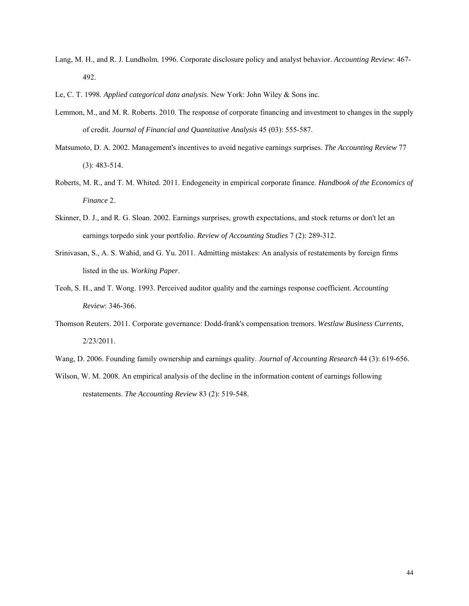- Lang, M. H., and R. J. Lundholm. 1996. Corporate disclosure policy and analyst behavior. *Accounting Review*: 467- 492.
- Le, C. T. 1998. *Applied categorical data analysis*. New York: John Wiley & Sons inc.
- Lemmon, M., and M. R. Roberts. 2010. The response of corporate financing and investment to changes in the supply of credit. *Journal of Financial and Quantitative Analysis* 45 (03): 555-587.
- Matsumoto, D. A. 2002. Management's incentives to avoid negative earnings surprises. *The Accounting Review* 77 (3): 483-514.
- Roberts, M. R., and T. M. Whited. 2011. Endogeneity in empirical corporate finance. *Handbook of the Economics of Finance* 2.
- Skinner, D. J., and R. G. Sloan. 2002. Earnings surprises, growth expectations, and stock returns or don't let an earnings torpedo sink your portfolio. *Review of Accounting Studies* 7 (2): 289-312.
- Srinivasan, S., A. S. Wahid, and G. Yu. 2011. Admitting mistakes: An analysis of restatements by foreign firms listed in the us. *Working Paper*.
- Teoh, S. H., and T. Wong. 1993. Perceived auditor quality and the earnings response coefficient. *Accounting Review*: 346-366.
- Thomson Reuters. 2011. Corporate governance: Dodd-frank's compensation tremors. *Westlaw Business Currents*, 2/23/2011.
- Wang, D. 2006. Founding family ownership and earnings quality. *Journal of Accounting Research* 44 (3): 619-656.
- Wilson, W. M. 2008. An empirical analysis of the decline in the information content of earnings following restatements. *The Accounting Review* 83 (2): 519-548.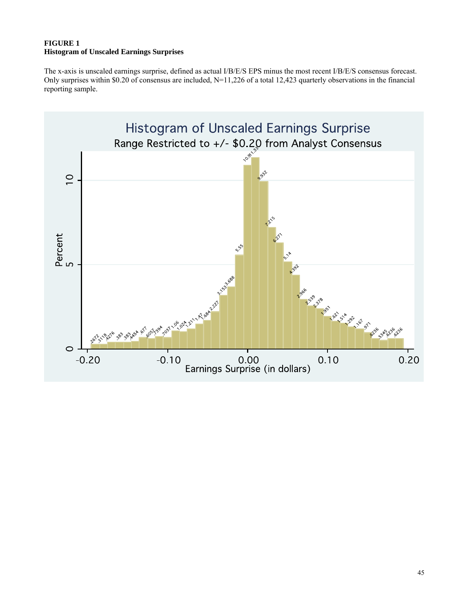## **FIGURE 1 Histogram of Unscaled Earnings Surprises**

The x-axis is unscaled earnings surprise, defined as actual I/B/E/S EPS minus the most recent I/B/E/S consensus forecast. Only surprises within \$0.20 of consensus are included, N=11,226 of a total 12,423 quarterly observations in the financial reporting sample.

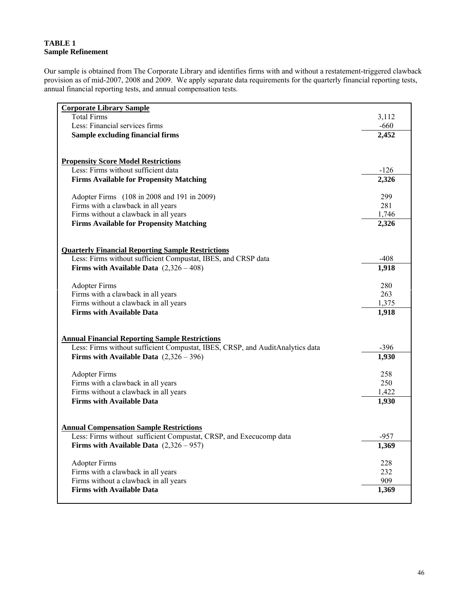## **TABLE 1 Sample Refinement**

Our sample is obtained from The Corporate Library and identifies firms with and without a restatement-triggered clawback provision as of mid-2007, 2008 and 2009. We apply separate data requirements for the quarterly financial reporting tests, annual financial reporting tests, and annual compensation tests.

| <b>Corporate Library Sample</b>                                               |        |
|-------------------------------------------------------------------------------|--------|
| <b>Total Firms</b>                                                            | 3,112  |
| Less: Financial services firms                                                | $-660$ |
| <b>Sample excluding financial firms</b>                                       | 2,452  |
|                                                                               |        |
|                                                                               |        |
| <b>Propensity Score Model Restrictions</b>                                    |        |
| Less: Firms without sufficient data                                           | $-126$ |
| <b>Firms Available for Propensity Matching</b>                                | 2,326  |
| Adopter Firms (108 in 2008 and 191 in 2009)                                   | 299    |
| Firms with a clawback in all years                                            | 281    |
| Firms without a clawback in all years                                         | 1,746  |
| <b>Firms Available for Propensity Matching</b>                                | 2,326  |
|                                                                               |        |
|                                                                               |        |
| <b>Quarterly Financial Reporting Sample Restrictions</b>                      |        |
| Less: Firms without sufficient Compustat, IBES, and CRSP data                 | $-408$ |
| Firms with Available Data $(2,326-408)$                                       | 1,918  |
|                                                                               |        |
| <b>Adopter Firms</b>                                                          | 280    |
| Firms with a clawback in all years                                            | 263    |
| Firms without a clawback in all years                                         | 1,375  |
| <b>Firms with Available Data</b>                                              | 1,918  |
|                                                                               |        |
| <b>Annual Financial Reporting Sample Restrictions</b>                         |        |
| Less: Firms without sufficient Compustat, IBES, CRSP, and AuditAnalytics data | $-396$ |
| Firms with Available Data $(2,326-396)$                                       | 1,930  |
|                                                                               |        |
| <b>Adopter Firms</b>                                                          | 258    |
| Firms with a clawback in all years                                            | 250    |
| Firms without a clawback in all years                                         | 1,422  |
| <b>Firms with Available Data</b>                                              | 1,930  |
|                                                                               |        |
|                                                                               |        |
| <b>Annual Compensation Sample Restrictions</b>                                |        |
| Less: Firms without sufficient Compustat, CRSP, and Execucomp data            | $-957$ |
| Firms with Available Data $(2,326-957)$                                       | 1,369  |
| <b>Adopter Firms</b>                                                          | 228    |
| Firms with a clawback in all years                                            | 232    |
| Firms without a clawback in all years                                         | 909    |
| <b>Firms with Available Data</b>                                              | 1,369  |
|                                                                               |        |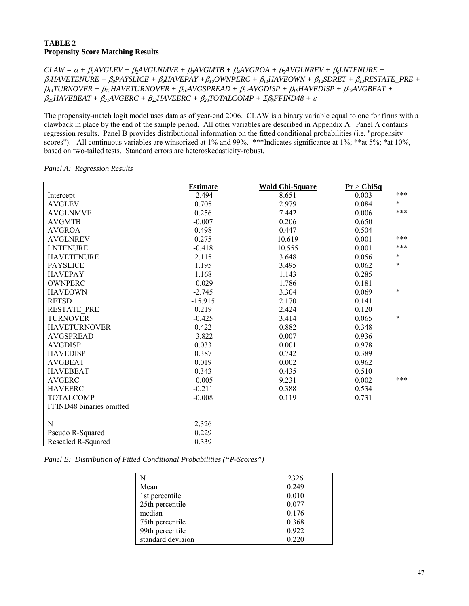## **TABLE 2 Propensity Score Matching Results**

 $CLAW = \alpha + \beta_1 AVGLEV + \beta_2 AVGLNMVE + \beta_3 AVGMTB + \beta_4 AVGROA + \beta_5 AVGLNREV + \beta_6 LNTENURE +$ β*7HAVETENURE +* β*8PAYSLICE +* β*9HAVEPAY +*β*10OWNPERC +* β*11HAVEOWN +* β*12SDRET +* β*13RESTATE\_PRE +*   $\beta_{14}TURNOVER + \beta_{15}HAVETURNOVER + \beta_{16}AVGSPREAD + \beta_{17}AVGDISP + \beta_{18}HAVEDISP + \beta_{19}AVGBEAT +$ β*20HAVEBEAT +* β*21AVGERC +* β*22HAVEERC +* β*23TOTALCOMP +* Σβ*kFFIND48 +* <sup>ε</sup>

The propensity-match logit model uses data as of year-end 2006. CLAW is a binary variable equal to one for firms with a clawback in place by the end of the sample period. All other variables are described in Appendix A. Panel A contains regression results. Panel B provides distributional information on the fitted conditional probabilities (i.e. "propensity scores"). All continuous variables are winsorized at 1% and 99%. \*\*\*Indicates significance at 1%; \*\*at 5%; \*at 10%, based on two-tailed tests. Standard errors are heteroskedasticity-robust.

*Panel A: Regression Results*

|                          | <b>Estimate</b> | <b>Wald Chi-Square</b> | Pr > ChiSq |        |
|--------------------------|-----------------|------------------------|------------|--------|
| Intercept                | $-2.494$        | 8.651                  | 0.003      | ***    |
| <b>AVGLEV</b>            | 0.705           | 2.979                  | 0.084      | *      |
| <b>AVGLNMVE</b>          | 0.256           | 7.442                  | 0.006      | ***    |
| <b>AVGMTB</b>            | $-0.007$        | 0.206                  | 0.650      |        |
| <b>AVGROA</b>            | 0.498           | 0.447                  | 0.504      |        |
| <b>AVGLNREV</b>          | 0.275           | 10.619                 | 0.001      | ***    |
| <b>LNTENURE</b>          | $-0.418$        | 10.555                 | 0.001      | ***    |
| <b>HAVETENURE</b>        | 2.115           | 3.648                  | 0.056      | ∗      |
| <b>PAYSLICE</b>          | 1.195           | 3.495                  | 0.062      | $\ast$ |
| <b>HAVEPAY</b>           | 1.168           | 1.143                  | 0.285      |        |
| <b>OWNPERC</b>           | $-0.029$        | 1.786                  | 0.181      |        |
| <b>HAVEOWN</b>           | $-2.745$        | 3.304                  | 0.069      | $\ast$ |
| <b>RETSD</b>             | $-15.915$       | 2.170                  | 0.141      |        |
| <b>RESTATE PRE</b>       | 0.219           | 2.424                  | 0.120      |        |
| <b>TURNOVER</b>          | $-0.425$        | 3.414                  | 0.065      | $\ast$ |
| <b>HAVETURNOVER</b>      | 0.422           | 0.882                  | 0.348      |        |
| <b>AVGSPREAD</b>         | $-3.822$        | 0.007                  | 0.936      |        |
| <b>AVGDISP</b>           | 0.033           | 0.001                  | 0.978      |        |
| <b>HAVEDISP</b>          | 0.387           | 0.742                  | 0.389      |        |
| <b>AVGBEAT</b>           | 0.019           | 0.002                  | 0.962      |        |
| <b>HAVEBEAT</b>          | 0.343           | 0.435                  | 0.510      |        |
| <b>AVGERC</b>            | $-0.005$        | 9.231                  | 0.002      | ***    |
| <b>HAVEERC</b>           | $-0.211$        | 0.388                  | 0.534      |        |
| <b>TOTALCOMP</b>         | $-0.008$        | 0.119                  | 0.731      |        |
| FFIND48 binaries omitted |                 |                        |            |        |
|                          |                 |                        |            |        |
| N                        | 2,326           |                        |            |        |
| Pseudo R-Squared         | 0.229           |                        |            |        |
| Rescaled R-Squared       | 0.339           |                        |            |        |

*Panel B: Distribution of Fitted Conditional Probabilities ("P-Scores")*

|                   | 2326  |
|-------------------|-------|
| Mean              | 0.249 |
| 1st percentile    | 0.010 |
| 25th percentile   | 0.077 |
| median            | 0.176 |
| 75th percentile   | 0.368 |
| 99th percentile   | 0.922 |
| standard deviaion | 0.220 |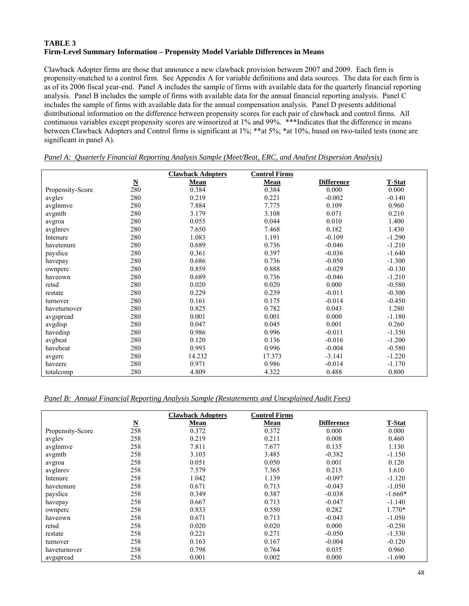## **TABLE 3 Firm-Level Summary Information – Propensity Model Variable Differences in Means**

Clawback Adopter firms are those that announce a new clawback provision between 2007 and 2009. Each firm is propensity-matched to a control firm. See Appendix A for variable definitions and data sources. The data for each firm is as of its 2006 fiscal year-end. Panel A includes the sample of firms with available data for the quarterly financial reporting analysis. Panel B includes the sample of firms with available data for the annual financial reporting analysis. Panel C includes the sample of firms with available data for the annual compensation analysis. Panel D presents additional distributional information on the difference between propensity scores for each pair of clawback and control firms. All continuous variables except propensity scores are winsorized at 1% and 99%. \*\*\*Indicates that the difference in means between Clawback Adopters and Control firms is significant at 1%; \*\*at 5%; \*at 10%, based on two-tailed tests (none are significant in panel A).

|                  |                          | <b>Clawback Adopters</b> | <b>Control Firms</b> |                   |          |
|------------------|--------------------------|--------------------------|----------------------|-------------------|----------|
|                  | $\underline{\mathbf{N}}$ | <b>Mean</b>              | <b>Mean</b>          | <b>Difference</b> | T-Stat   |
| Propensity-Score | 280                      | 0.384                    | 0.384                | 0.000             | 0.000    |
| avglev           | 280                      | 0.219                    | 0.221                | $-0.002$          | $-0.140$ |
| avglnmye         | 280                      | 7.884                    | 7.775                | 0.109             | 0.960    |
| avgmtb           | 280                      | 3.179                    | 3.108                | 0.071             | 0.210    |
| avgroa           | 280                      | 0.055                    | 0.044                | 0.010             | 1.400    |
| avglnrev         | 280                      | 7.650                    | 7.468                | 0.182             | 1.430    |
| Intenure         | 280                      | 1.083                    | 1.191                | $-0.109$          | $-1.290$ |
| havetenure       | 280                      | 0.689                    | 0.736                | $-0.046$          | $-1.210$ |
| payslice         | 280                      | 0.361                    | 0.397                | $-0.036$          | $-1.640$ |
| havepay          | 280                      | 0.686                    | 0.736                | $-0.050$          | $-1.300$ |
| ownperc          | 280                      | 0.859                    | 0.888                | $-0.029$          | $-0.130$ |
| haveown          | 280                      | 0.689                    | 0.736                | $-0.046$          | $-1.210$ |
| retsd            | 280                      | 0.020                    | 0.020                | 0.000             | $-0.580$ |
| restate          | 280                      | 0.229                    | 0.239                | $-0.011$          | $-0.300$ |
| turnover         | 280                      | 0.161                    | 0.175                | $-0.014$          | $-0.450$ |
| haveturnover     | 280                      | 0.825                    | 0.782                | 0.043             | 1.280    |
| avgspread        | 280                      | 0.001                    | 0.001                | 0.000             | $-1.180$ |
| avgdisp          | 280                      | 0.047                    | 0.045                | 0.001             | 0.260    |
| havedisp         | 280                      | 0.986                    | 0.996                | $-0.011$          | $-1.350$ |
| avgbeat          | 280                      | 0.120                    | 0.136                | $-0.016$          | $-1.200$ |
| havebeat         | 280                      | 0.993                    | 0.996                | $-0.004$          | $-0.580$ |
| avgerc           | 280                      | 14.232                   | 17.373               | $-3.141$          | $-1.220$ |
| haveerc          | 280                      | 0.971                    | 0.986                | $-0.014$          | $-1.170$ |
| totalcomp        | 280                      | 4.809                    | 4.322                | 0.488             | 0.800    |

*Panel A: Quarterly Financial Reporting Analysis Sample (Meet/Beat, ERC, and Analyst Dispersion Analysis)*

*Panel B: Annual Financial Reporting Analysis Sample (Restatements and Unexplained Audit Fees)*

|                  |                          | <b>Clawback Adopters</b> | <b>Control Firms</b> |                   |           |
|------------------|--------------------------|--------------------------|----------------------|-------------------|-----------|
|                  | $\underline{\mathbf{N}}$ | <b>Mean</b>              | Mean                 | <b>Difference</b> | T-Stat    |
| Propensity-Score | 258                      | 0.372                    | 0.372                | 0.000             | 0.000     |
| avglev           | 258                      | 0.219                    | 0.211                | 0.008             | 0.460     |
| avglnmve         | 258                      | 7.811                    | 7.677                | 0.135             | 1.130     |
| avgmtb           | 258                      | 3.103                    | 3.485                | $-0.382$          | $-1.150$  |
| avgroa           | 258                      | 0.051                    | 0.050                | 0.001             | 0.120     |
| avglnrev         | 258                      | 7.579                    | 7.365                | 0.215             | 1.610     |
| Intenure         | 258                      | 1.042                    | 1.139                | $-0.097$          | $-1.120$  |
| havetenure       | 258                      | 0.671                    | 0.713                | $-0.043$          | $-1.050$  |
| payslice         | 258                      | 0.349                    | 0.387                | $-0.038$          | $-1.660*$ |
| havepay          | 258                      | 0.667                    | 0.713                | $-0.047$          | $-1.140$  |
| ownperc          | 258                      | 0.833                    | 0.550                | 0.282             | 1.770*    |
| haveown          | 258                      | 0.671                    | 0.713                | $-0.043$          | $-1.050$  |
| retsd            | 258                      | 0.020                    | 0.020                | 0.000             | $-0.250$  |
| restate          | 258                      | 0.221                    | 0.271                | $-0.050$          | $-1.330$  |
| turnover         | 258                      | 0.163                    | 0.167                | $-0.004$          | $-0.120$  |
| haveturnover     | 258                      | 0.798                    | 0.764                | 0.035             | 0.960     |
| avgspread        | 258                      | 0.001                    | 0.002                | 0.000             | $-1.690$  |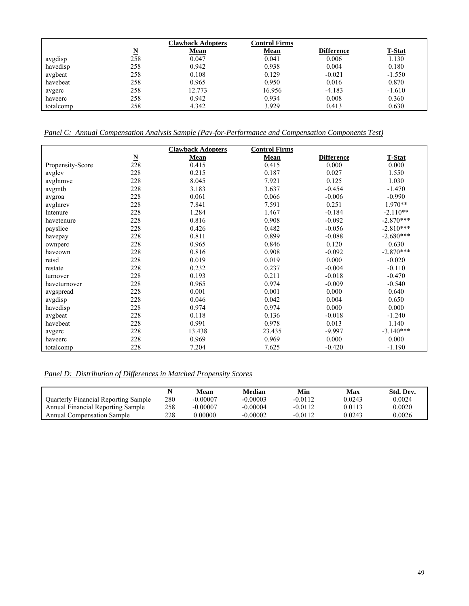|           |     | <b>Clawback Adopters</b> | <b>Control Firms</b> |                   |               |
|-----------|-----|--------------------------|----------------------|-------------------|---------------|
|           | N   | <b>Mean</b>              | <b>Mean</b>          | <b>Difference</b> | <b>T-Stat</b> |
| avgdisp   | 258 | 0.047                    | 0.041                | 0.006             | 1.130         |
| havedisp  | 258 | 0.942                    | 0.938                | 0.004             | 0.180         |
| avgbeat   | 258 | 0.108                    | 0.129                | $-0.021$          | $-1.550$      |
| havebeat  | 258 | 0.965                    | 0.950                | 0.016             | 0.870         |
| avgerc    | 258 | 12.773                   | 16.956               | $-4.183$          | $-1.610$      |
| haveerc   | 258 | 0.942                    | 0.934                | 0.008             | 0.360         |
| totalcomp | 258 | 4.342                    | 3.929                | 0.413             | 0.630         |

*Panel C: Annual Compensation Analysis Sample (Pay-for-Performance and Compensation Components Test)*

|                  |                          | <b>Clawback Adopters</b> | <b>Control Firms</b> |                   |             |
|------------------|--------------------------|--------------------------|----------------------|-------------------|-------------|
|                  | $\underline{\mathbf{N}}$ | Mean                     | Mean                 | <b>Difference</b> | T-Stat      |
| Propensity-Score | 228                      | 0.415                    | 0.415                | 0.000             | 0.000       |
| avgley           | 228                      | 0.215                    | 0.187                | 0.027             | 1.550       |
| avglnmye         | 228                      | 8.045                    | 7.921                | 0.125             | 1.030       |
| avgmtb           | 228                      | 3.183                    | 3.637                | $-0.454$          | $-1.470$    |
| avgroa           | 228                      | 0.061                    | 0.066                | $-0.006$          | $-0.990$    |
| avglnrev         | 228                      | 7.841                    | 7.591                | 0.251             | $1.970**$   |
| <b>Intenure</b>  | 228                      | 1.284                    | 1.467                | $-0.184$          | $-2.110**$  |
| havetenure       | 228                      | 0.816                    | 0.908                | $-0.092$          | $-2.870***$ |
| payslice         | 228                      | 0.426                    | 0.482                | $-0.056$          | $-2.810***$ |
| havepay          | 228                      | 0.811                    | 0.899                | $-0.088$          | $-2.680***$ |
| ownperc          | 228                      | 0.965                    | 0.846                | 0.120             | 0.630       |
| haveown          | 228                      | 0.816                    | 0.908                | $-0.092$          | $-2.870***$ |
| retsd            | 228                      | 0.019                    | 0.019                | 0.000             | $-0.020$    |
| restate          | 228                      | 0.232                    | 0.237                | $-0.004$          | $-0.110$    |
| turnover         | 228                      | 0.193                    | 0.211                | $-0.018$          | $-0.470$    |
| haveturnover     | 228                      | 0.965                    | 0.974                | $-0.009$          | $-0.540$    |
| avgspread        | 228                      | 0.001                    | 0.001                | 0.000             | 0.640       |
| avgdisp          | 228                      | 0.046                    | 0.042                | 0.004             | 0.650       |
| havedisp         | 228                      | 0.974                    | 0.974                | 0.000             | 0.000       |
| avgbeat          | 228                      | 0.118                    | 0.136                | $-0.018$          | $-1.240$    |
| havebeat         | 228                      | 0.991                    | 0.978                | 0.013             | 1.140       |
| avgerc           | 228                      | 13.438                   | 23.435               | $-9.997$          | $-3.140***$ |
| haveerc          | 228                      | 0.969                    | 0.969                | 0.000             | 0.000       |
| totalcomp        | 228                      | 7.204                    | 7.625                | $-0.420$          | $-1.190$    |

# *Panel D: Distribution of Differences in Matched Propensity Scores*

|                                      |     | Mean       | Median     | Min       | Max    | Std. Dev. |
|--------------------------------------|-----|------------|------------|-----------|--------|-----------|
| Quarterly Financial Reporting Sample | 280 | $-0.00007$ | $-0.00003$ | $-0.0112$ | 0.0243 | 0.0024    |
| Annual Financial Reporting Sample    | 258 | $-0.00007$ | $-0.00004$ | $-0.0112$ | 0.0113 | 0.0020    |
| <b>Annual Compensation Sample</b>    | 228 | 0.00000    | $-0.00002$ | $-0.0112$ | 0.0243 | 0.0026    |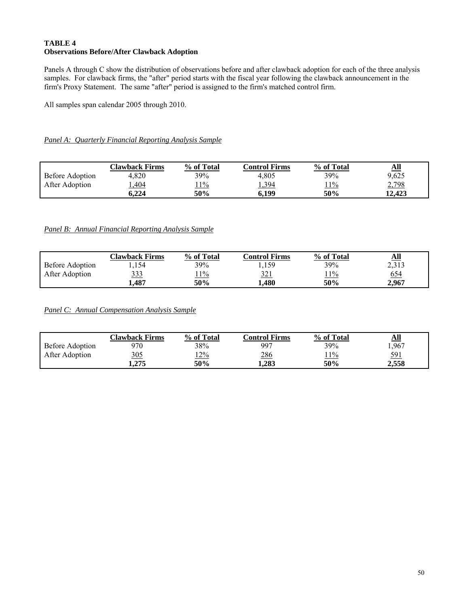## **TABLE 4 Observations Before/After Clawback Adoption**

Panels A through C show the distribution of observations before and after clawback adoption for each of the three analysis samples. For clawback firms, the "after" period starts with the fiscal year following the clawback announcement in the firm's Proxy Statement. The same "after" period is assigned to the firm's matched control firm.

All samples span calendar 2005 through 2010.

## *Panel A: Quarterly Financial Reporting Analysis Sample*

|                 | Clawback Firms | % of Total | Control Firms | % of Total | All    |
|-----------------|----------------|------------|---------------|------------|--------|
| Before Adoption | 4.820          | 39%        | 4.805         | 39%        | 9,625  |
| After Adoption  | 1,404          | $11\%$     | 1,394         | 11%        | 2,798  |
|                 | 5.224          | 50%        | 6.199         | 50%        | 12.423 |

## *Panel B: Annual Financial Reporting Analysis Sample*

|                 | Clawback Firms | % of Total | Control Firms | % of Total | <u>All</u> |
|-----------------|----------------|------------|---------------|------------|------------|
| Before Adoption | .154           | 39%        | ,159          | 39%        | 2,313      |
| After Adoption  | <u>333</u>     | 11%        | 321           | 11%        | <u>654</u> |
|                 | 1.487          | 50%        | 1.480         | 50%        | 2.967      |

*Panel C: Annual Compensation Analysis Sample*

|                        | Clawback Firms | % of Total | Control Firms | % of Total | $\underline{\mathbf{All}}$ |
|------------------------|----------------|------------|---------------|------------|----------------------------|
| <b>Before Adoption</b> | 970            | 38%        | 997           | 39%        | 1,967                      |
| After Adoption         | <u>305</u>     | 12%        | 286           | 11%        | 591                        |
|                        | 1.275          | 50%        | 1.283         | 50%        | 2.558                      |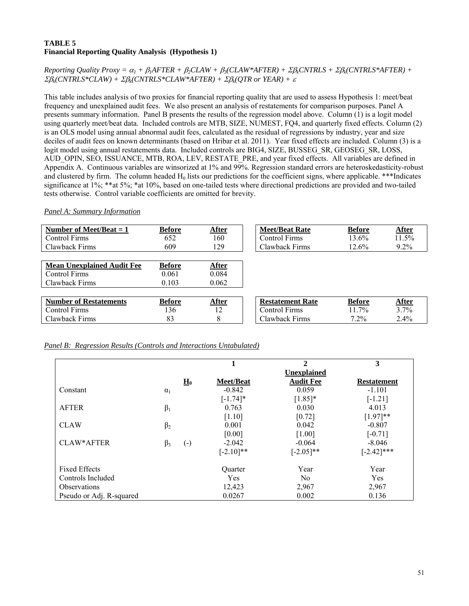## **TABLE 5 Financial Reporting Quality Analysis (Hypothesis 1)**

*Reporting Quality Proxy =*  $\alpha_1 + \beta_1 A$ *FTER +*  $\beta_2 CLAW + \beta_3 (CLAW*AFTER) + \beta_4 CNTRLS + \beta_6 (CNTRLS*AFFER) + \beta_7 CATRLS + \beta_7 CATRLS$ Σβ*k(CNTRLS\*CLAW) +* Σβ*k(CNTRLS\*CLAW\*AFTER) +* Σβ*k(QTR or YEAR) +* <sup>ε</sup>

This table includes analysis of two proxies for financial reporting quality that are used to assess Hypothesis 1: meet/beat frequency and unexplained audit fees. We also present an analysis of restatements for comparison purposes. Panel A presents summary information. Panel B presents the results of the regression model above. Column (1) is a logit model using quarterly meet/beat data. Included controls are MTB, SIZE, NUMEST, FQ4, and quarterly fixed effects. Column (2) is an OLS model using annual abnormal audit fees, calculated as the residual of regressions by industry, year and size deciles of audit fees on known determinants (based on Hribar et al. 2011). Year fixed effects are included. Column (3) is a logit model using annual restatements data. Included controls are BIG4, SIZE, BUSSEG\_SR, GEOSEG\_SR, LOSS, AUD\_OPIN, SEO, ISSUANCE, MTB, ROA, LEV, RESTATE\_PRE, and year fixed effects. All variables are defined in Appendix A. Continuous variables are winsorized at 1% and 99%. Regression standard errors are heteroskedasticity-robust and clustered by firm. The column headed  $H_0$  lists our predictions for the coefficient signs, where applicable. \*\*\*Indicates significance at 1%; \*\*at 5%; \*at 10%, based on one-tailed tests where directional predictions are provided and two-tailed tests otherwise. Control variable coefficients are omitted for brevity.

*Panel A: Summary Information* 

| Number of Meet/Beat $= 1$         | <b>Before</b> | After        | <b>Meet/Beat Rate</b>   | <b>Before</b> | After   |
|-----------------------------------|---------------|--------------|-------------------------|---------------|---------|
| <b>Control Firms</b>              | 652           | 160          | <b>Control Firms</b>    | $13.6\%$      | 11.5%   |
| Clawback Firms                    | 609           | 129          | Clawback Firms          | 12.6%         | $9.2\%$ |
|                                   |               |              |                         |               |         |
| <b>Mean Unexplained Audit Fee</b> | <b>Before</b> | <u>After</u> |                         |               |         |
| Control Firms                     | 0.061         | 0.084        |                         |               |         |
| Clawback Firms                    | 0.103         | 0.062        |                         |               |         |
|                                   |               |              |                         |               |         |
| <b>Number of Restatements</b>     | <b>Before</b> | After        | <b>Restatement Rate</b> | <b>Before</b> | After   |
| <b>Control Firms</b>              | 136           | 12           | <b>Control Firms</b>    | 11.7%         | 3.7%    |
| Clawback Firms                    | 83            | 8            | Clawback Firms          | $7.2\%$       | $2.4\%$ |

*Panel B: Regression Results (Controls and Interactions Untabulated)*

|                          |            |                    | 1                | $\mathbf{2}$       | 3                  |
|--------------------------|------------|--------------------|------------------|--------------------|--------------------|
|                          |            |                    |                  | <b>Unexplained</b> |                    |
|                          |            | $H_0$              | <b>Meet/Beat</b> | <b>Audit Fee</b>   | <b>Restatement</b> |
| Constant                 | $\alpha_1$ |                    | $-0.842$         | 0.059              | $-1.101$           |
|                          |            |                    | $[-1.74]$ *      | $[1.85]$ *         | $[-1.21]$          |
| <b>AFTER</b>             | $\beta_1$  |                    | 0.763            | 0.030              | 4.013              |
|                          |            |                    | [1.10]           | [0.72]             | $[1.97]**$         |
| <b>CLAW</b>              | $\beta_2$  |                    | 0.001            | 0.042              | $-0.807$           |
|                          |            |                    | [0.00]           | [1.00]             | $[-0.71]$          |
| <b>CLAW*AFTER</b>        | $\beta_3$  | $(\textnormal{-})$ | $-2.042$         | $-0.064$           | $-8.046$           |
|                          |            |                    | $[-2.10]$ **     | $[-2.05]$ **       | $[-2.42]$ ***      |
| <b>Fixed Effects</b>     |            |                    | <b>Ouarter</b>   | Year               | Year               |
| Controls Included        |            |                    | Yes              | N <sub>0</sub>     | Yes                |
| <b>Observations</b>      |            |                    | 12,423           | 2,967              | 2,967              |
| Pseudo or Adj. R-squared |            |                    | 0.0267           | 0.002              | 0.136              |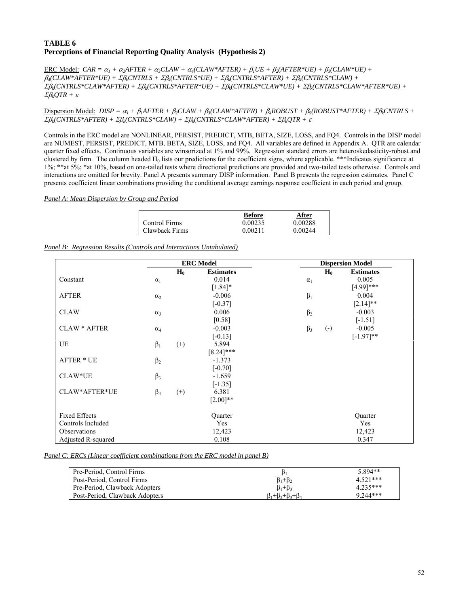## **TABLE 6 Perceptions of Financial Reporting Quality Analysis (Hypothesis 2)**

 $\frac{\text{ERC Model:}}{\text{CAR}} = \alpha_I + \alpha_2 A \text{FTER} + \alpha_3 \text{CLAW} + \alpha_4 (\text{CLAW*} \cdot \text{A} \cdot \text{FTER}) + \beta_1 \text{UE} + \beta_2 ( \text{A} \cdot \text{FTER} \cdot \text{UE}) + \beta_3 (\text{CLAW*UE}) + \beta_4 \text{UE} + \beta_5 \text{UE} + \beta_6 \text{UE} + \beta_7 \text{UE} + \beta_8 \text{UE} + \beta_9 \text{UE} + \beta_9 \text{UE} + \beta_9 \text{UE} + \beta_9 \text{UE} + \beta_9 \text{UE} + \$ β*4(CLAW\*AFTER\*UE) +* Σβ*kCNTRLS +* Σβ*k(CNTRLS\*UE) +* Σβ*k(CNTRLS\*AFTER) +* Σβ*k(CNTRLS\*CLAW) +*  Σβ*k(CNTRLS\*CLAW\*AFTER) +* Σβ*k(CNTRLS\*AFTER\*UE) +* Σβ*k(CNTRLS\*CLAW\*UE) +* Σβ*k(CNTRLS\*CLAW\*AFTER\*UE) +*  Σβ*kQTR +* <sup>ε</sup>

Dispersion Model: *DISP* =  $\alpha_1 + \beta_1 A FTER + \beta_2 CLAW + \beta_3 (CLAW*AFTER) + \beta_4 ROBUST + \beta_5 (ROBUST*AFTER) + \beta_6 CNTRLS + \beta_7 (ROBUST*AFTER) + \beta_7 (ROBUST*AFTER) + \beta_7 (CIAW*AFTER)$ Σβ*k(CNTRLS\*AFTER) +* Σβ*k(CNTRLS\*CLAW) +* Σβ*k(CNTRLS\*CLAW\*AFTER) +* Σβ*kQTR +* <sup>ε</sup>

Controls in the ERC model are NONLINEAR, PERSIST, PREDICT, MTB, BETA, SIZE, LOSS, and FQ4. Controls in the DISP model are NUMEST, PERSIST, PREDICT, MTB, BETA, SIZE, LOSS, and FQ4. All variables are defined in Appendix A. QTR are calendar quarter fixed effects. Continuous variables are winsorized at 1% and 99%. Regression standard errors are heteroskedasticity-robust and clustered by firm. The column headed  $H_0$  lists our predictions for the coefficient signs, where applicable. \*\*\*Indicates significance at 1%; \*\*at 5%; \*at 10%, based on one-tailed tests where directional predictions are provided and two-tailed tests otherwise. Controls and interactions are omitted for brevity. Panel A presents summary DISP information. Panel B presents the regression estimates. Panel C presents coefficient linear combinations providing the conditional average earnings response coefficient in each period and group.

#### *Panel A: Mean Dispersion by Group and Period*

|                | <b>Before</b> | After   |
|----------------|---------------|---------|
| Control Firms  | 0.00235       | 0.00288 |
| Clawback Firms | 0.00211       | 0.00244 |

|  |  |  | Panel B: Regression Results (Controls and Interactions Untabulated) |
|--|--|--|---------------------------------------------------------------------|
|  |  |  |                                                                     |

|                      | <b>ERC</b> Model |                  |                  |            | <b>Dispersion Model</b> |                  |
|----------------------|------------------|------------------|------------------|------------|-------------------------|------------------|
|                      |                  | $\mathbf{H}_{0}$ | <b>Estimates</b> |            | $\mathbf{H}_{0}$        | <b>Estimates</b> |
| Constant             | $\alpha_1$       |                  | 0.014            | $\alpha_1$ |                         | 0.005            |
|                      |                  |                  | $[1.84]$ *       |            |                         | $[4.99]$ ***     |
| <b>AFTER</b>         | $\alpha_2$       |                  | $-0.006$         | $\beta_1$  |                         | 0.004            |
|                      |                  |                  | $[-0.37]$        |            |                         | $[2.14]$ **      |
| <b>CLAW</b>          | $\alpha_3$       |                  | 0.006            | $\beta_2$  |                         | $-0.003$         |
|                      |                  |                  | [0.58]           |            |                         | $[-1.51]$        |
| <b>CLAW * AFTER</b>  | $\alpha_4$       |                  | $-0.003$         | $\beta_3$  | $\left( -\right)$       | $-0.005$         |
|                      |                  |                  | $[-0.13]$        |            |                         | $[-1.97]**$      |
| UE                   | $\beta_1$        | $^{(+)}$         | 5.894            |            |                         |                  |
|                      |                  |                  | $[8.24]$ ***     |            |                         |                  |
| <b>AFTER * UE</b>    | $\beta_2$        |                  | $-1.373$         |            |                         |                  |
|                      |                  |                  | $[-0.70]$        |            |                         |                  |
| CLAW*UE              | $\beta_3$        |                  | $-1.659$         |            |                         |                  |
|                      |                  |                  | $[-1.35]$        |            |                         |                  |
| CLAW*AFTER*UE        | $\beta_4$        | $^{(+)}$         | 6.381            |            |                         |                  |
|                      |                  |                  | $[2.00]**$       |            |                         |                  |
| <b>Fixed Effects</b> |                  |                  | Quarter          |            |                         | Quarter          |
| Controls Included    |                  |                  | Yes              |            |                         | Yes              |
| Observations         |                  |                  | 12,423           |            |                         | 12,423           |
| Adjusted R-squared   |                  |                  | 0.108            |            |                         | 0.347            |

#### *Panel C: ERCs (Linear coefficient combinations from the ERC model in panel B)*

| Pre-Period, Control Firms      | $\mathbf{D}_1$                    | 5.894**    |
|--------------------------------|-----------------------------------|------------|
| Post-Period, Control Firms     | $\beta_1 + \beta_2$               | $4.521***$ |
| Pre-Period, Clawback Adopters  | $\beta_1 + \beta_3$               | $4.235***$ |
| Post-Period, Clawback Adopters | $\beta_1+\beta_2+\beta_3+\beta_4$ | $9.244***$ |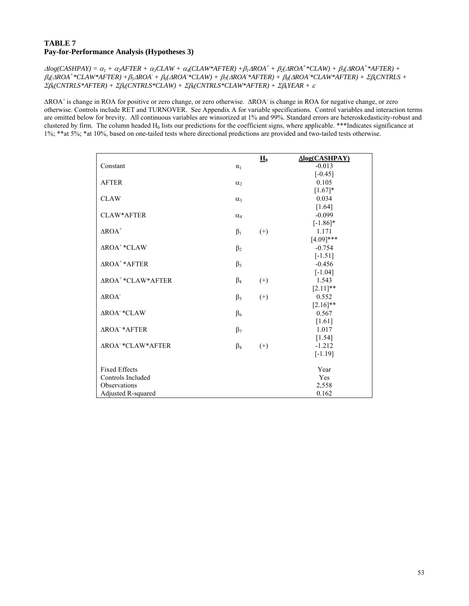## **TABLE 7 Pay-for-Performance Analysis (Hypotheses 3)**

 $\Delta log(CASHPAY) = \alpha_1 + \alpha_2 AFTER + \alpha_3 CLAW + \alpha_4 (CLAW*AFFTER) + \beta_1 \Delta ROA^+ + \beta_2 (\Delta ROA^+ * CLAW) + \beta_3 (\Delta ROA^+ * AFTER) + \beta_4 \Delta POA^+ + \beta_5 \Delta POA^+ + \beta_6 \Delta POA^+ + \beta_7 \Delta POA^+ + \beta_7 \Delta POA^+ + \beta_7 \Delta POA^+ + \beta_7 \Delta POA^+ + \beta_7 \Delta POA^+ + \beta_7 \Delta POA^+ + \beta_7 \Delta POA^+ + \beta_7 \Delta POA^+ + \beta_7 \Delta POA^+ + \beta_7 \Delta PO$  $\beta_4(\Delta ROA^+ * CLAW^*AFTER) + \beta_5 \Delta ROA^+ + \beta_6(\Delta ROA^*CLAW) + \beta_7(\Delta ROA^*AFTER) + \beta_8(\Delta ROA^*CLAW^*AFTER) + \Sigma \beta_8 CNTRLS +$ Σβ*k(CNTRLS\*AFTER) +* Σβ*k(CNTRLS\*CLAW) +* Σβ*k(CNTRLS\*CLAW\*AFTER) +* Σβ*kYEAR +* <sup>ε</sup>

ΔROA+ is change in ROA for positive or zero change, or zero otherwise. ΔROA- is change in ROA for negative change, or zero otherwise. Controls include RET and TURNOVER. See Appendix A for variable specifications. Control variables and interaction terms are omitted below for brevity. All continuous variables are winsorized at 1% and 99%. Standard errors are heteroskedasticity-robust and clustered by firm. The column headed  $H_0$  lists our predictions for the coefficient signs, where applicable. \*\*\*Indicates significance at 1%; \*\*at 5%; \*at 10%, based on one-tailed tests where directional predictions are provided and two-tailed tests otherwise.

|                                     |            | $\mathbf{H}_0$ | Δlog(CASHPAY)     |
|-------------------------------------|------------|----------------|-------------------|
| Constant                            | $\alpha_1$ |                | $-0.013$          |
|                                     |            |                | $[-0.45]$         |
| <b>AFTER</b>                        | $\alpha$   |                | 0.105             |
|                                     |            |                | $[1.67]*$         |
| <b>CLAW</b>                         | $\alpha_3$ |                | 0.034             |
|                                     |            |                | $[1.64]$          |
| CLAW*AFTER                          | $\alpha_4$ |                | $-0.099$          |
|                                     |            |                | $[-1.86]$ *       |
| $\Delta \text{ROA}^+$               | $\beta_1$  | $^{(+)}$       | 1.171             |
|                                     |            |                | $[4.09]$ ***      |
| $\triangle$ ROA <sup>+</sup> *CLAW  | $\beta_2$  |                | $-0.754$          |
|                                     |            |                | $[-1.51]$         |
| $\triangle$ ROA <sup>+</sup> *AFTER | $\beta_3$  |                | $-0.456$          |
|                                     |            |                | $[-1.04]$         |
| ΔROA <sup>+</sup> *CLAW*AFTER       | $\beta_4$  | $^{(+)}$       | 1.543             |
|                                     |            |                | $[2.11]$ **       |
| $\triangle$ ROA <sup>-</sup>        | $\beta_5$  | $^{(+)}$       | 0.552             |
|                                     |            |                | $[2.16]$ **       |
| ΔROA <sup>-*</sup> CLAW             | $\beta_6$  |                | 0.567             |
| <b>∆ROA *AFTER</b>                  |            |                | $[1.61]$<br>1.017 |
|                                     | $\beta_7$  |                | $[1.54]$          |
| <b>AROA *CLAW*AFTER</b>             |            |                | $-1.212$          |
|                                     | $\beta_8$  | $^{(+)}$       | $[-1.19]$         |
|                                     |            |                |                   |
| <b>Fixed Effects</b>                |            |                | Year              |
| Controls Included                   |            |                | Yes               |
| Observations                        |            |                | 2,558             |
| Adjusted R-squared                  |            |                | 0.162             |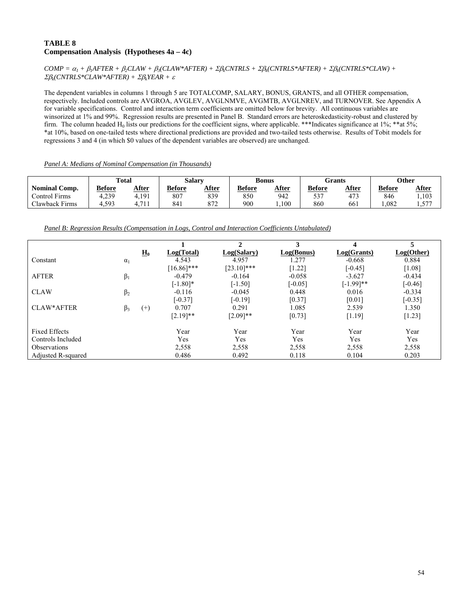## **TABLE 8 Compensation Analysis (Hypotheses 4a – 4c)**

 $COMP = \alpha_1 + \beta_1 AFTER + \beta_2 CLAW + \beta_3 (CLAW*AFTER) + \Sigma \beta_4 CNTRLS + \Sigma \beta_4 (CNTRLS*AFTER) + \Sigma \beta_4 (CNTRLS*CLAW) + \Sigma \beta_5 (CNTRLS * AFTER) + \Sigma \beta_5 (CATRLS * AFTER) + \Sigma \beta_6 (CATRLS * AFTER) + \Sigma \beta_7 (CATRLS * AFTER) + \Sigma \beta_7 (CATRLS * AGTAW)$ Σβ*k(CNTRLS\*CLAW\*AFTER) +* Σβ*kYEAR +* <sup>ε</sup>

The dependent variables in columns 1 through 5 are TOTALCOMP, SALARY, BONUS, GRANTS, and all OTHER compensation, respectively. Included controls are AVGROA, AVGLEV, AVGLNMVE, AVGMTB, AVGLNREV, and TURNOVER. See Appendix A for variable specifications. Control and interaction term coefficients are omitted below for brevity. All continuous variables are winsorized at 1% and 99%. Regression results are presented in Panel B. Standard errors are heteroskedasticity-robust and clustered by firm. The column headed  $H_0$  lists our predictions for the coefficient signs, where applicable. \*\*\*Indicates significance at 1%; \*\*at 5%; \*at 10%, based on one-tailed tests where directional predictions are provided and two-tailed tests otherwise. Results of Tobit models for regressions 3 and 4 (in which \$0 values of the dependent variables are observed) are unchanged.

| Panel A: Medians of Nominal Compensation (in Thousands) |  |  |
|---------------------------------------------------------|--|--|
|                                                         |  |  |

|                               | <b>Total</b> |            | <b>Salary</b> |       | Bonus         |       | Grants        |       | <b>Other</b>  |                 |
|-------------------------------|--------------|------------|---------------|-------|---------------|-------|---------------|-------|---------------|-----------------|
| <b>Nominal Comp.</b>          | Before       | After      | <b>Before</b> | After | <b>Before</b> | After | <b>Before</b> | After | <b>Before</b> | After           |
| $\mathbf{r}$<br>Control Firms | 4.239        | 4,191      | 807           | 839   | 850           | 942   | 537           | 172   | 846           | ,103            |
| Clawback Firms                | 4,593        | 71<br>-1-1 | 841           | 872   | 900           | .100  | 860           | 661   | .082          | 577<br>$     -$ |

*Panel B: Regression Results (Compensation in Logs, Control and Interaction Coefficients Untabulated)*

|                           |            |                   |               | $\mathbf{2}$  | 3          |              | 5          |
|---------------------------|------------|-------------------|---------------|---------------|------------|--------------|------------|
|                           |            | $\underline{H}_0$ | Log(Total)    | Log(Salary)   | Log(Bonus) | Log(Grants)  | Log(Other) |
| Constant                  | $\alpha_1$ |                   | 4.543         | 4.957         | 1.277      | $-0.668$     | 0.884      |
|                           |            |                   | $[16.86]$ *** | $[23.10]$ *** | $[1.22]$   | $[-0.45]$    | $[1.08]$   |
| <b>AFTER</b>              | $\beta_1$  |                   | $-0.479$      | $-0.164$      | $-0.058$   | $-3.627$     | $-0.434$   |
|                           |            |                   | $[-1.80]*$    | $[-1.50]$     | $[-0.05]$  | $[-1.99]$ ** | $[-0.46]$  |
| <b>CLAW</b>               | $\beta_2$  |                   | $-0.116$      | $-0.045$      | 0.448      | 0.016        | $-0.334$   |
|                           |            |                   | $[-0.37]$     | $[-0.19]$     | [0.37]     | [0.01]       | $[-0.35]$  |
| CLAW*AFTER                | $\beta_3$  | $^{(+)}$          | 0.707         | 0.291         | 1.085      | 2.539        | 1.350      |
|                           |            |                   | $[2.19]$ **   | $[2.09]$ **   | [0.73]     | [1.19]       | $[1.23]$   |
| <b>Fixed Effects</b>      |            |                   | Year          | Year          | Year       | Year         | Year       |
| Controls Included         |            |                   | Yes           | Yes           | Yes        | Yes          | Yes        |
| <b>Observations</b>       |            |                   | 2,558         | 2,558         | 2,558      | 2,558        | 2,558      |
| <b>Adjusted R-squared</b> |            |                   | 0.486         | 0.492         | 0.118      | 0.104        | 0.203      |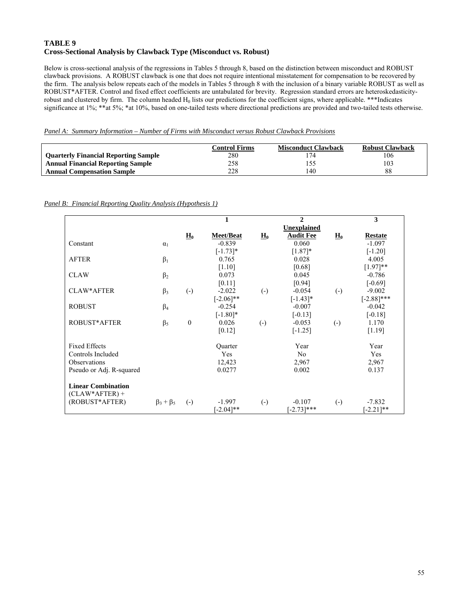## **TABLE 9 Cross-Sectional Analysis by Clawback Type (Misconduct vs. Robust)**

Below is cross-sectional analysis of the regressions in Tables 5 through 8, based on the distinction between misconduct and ROBUST clawback provisions. A ROBUST clawback is one that does not require intentional misstatement for compensation to be recovered by the firm. The analysis below repeats each of the models in Tables 5 through 8 with the inclusion of a binary variable ROBUST as well as ROBUST\*AFTER. Control and fixed effect coefficients are untabulated for brevity. Regression standard errors are heteroskedasticityrobust and clustered by firm. The column headed  $H_0$  lists our predictions for the coefficient signs, where applicable. \*\*\*Indicates significance at 1%; \*\*at 5%; \*at 10%, based on one-tailed tests where directional predictions are provided and two-tailed tests otherwise.

*Panel A: Summary Information – Number of Firms with Misconduct versus Robust Clawback Provisions*

|                                             | Control Firms | <b>Misconduct Clawback</b> | <b>Robust Clawback</b> |
|---------------------------------------------|---------------|----------------------------|------------------------|
| <b>Quarterly Financial Reporting Sample</b> | 280           |                            | 106                    |
| <b>Annual Financial Reporting Sample</b>    | 258           |                            | 103                    |
| <b>Annual Compensation Sample</b>           | 228           | 140                        | 88                     |

## *Panel B: Financial Reporting Quality Analysis (Hypothesis 1)*

|                                               |                     |                   | 1                     |                            | $\mathbf{2}$     |                        | 3              |
|-----------------------------------------------|---------------------|-------------------|-----------------------|----------------------------|------------------|------------------------|----------------|
|                                               |                     |                   |                       |                            | Unexplained      |                        |                |
|                                               |                     | $\mathbf{H}_{0}$  | <b>Meet/Beat</b>      | $\underline{\mathbf{H}}_0$ | <b>Audit Fee</b> | $\mathbf{H}_{0}$       | <b>Restate</b> |
| Constant                                      | $\alpha_1$          |                   | $-0.839$              |                            | 0.060            |                        | $-1.097$       |
|                                               |                     |                   | $[-1.73]$ *           |                            | $[1.87]$ *       |                        | $[-1.20]$      |
| <b>AFTER</b>                                  | $\beta_1$           |                   | 0.765                 |                            | 0.028            |                        | 4.005          |
|                                               |                     |                   | [1.10]                |                            | [0.68]           |                        | $[1.97]**$     |
| <b>CLAW</b>                                   | $\beta_2$           |                   | 0.073                 |                            | 0.045            |                        | $-0.786$       |
|                                               |                     |                   | [0.11]                |                            | [0.94]           |                        | $[-0.69]$      |
| CLAW*AFTER                                    | $\beta_3$           | $\left( -\right)$ | $-2.022$              | $\left( -\right)$          | $-0.054$         | $\left( -\right)$      | $-9.002$       |
|                                               |                     |                   | $[-2.06]$ **          |                            | $[-1.43]*$       |                        | $[-2.88]$ ***  |
| <b>ROBUST</b>                                 | $\beta_4$           |                   | $-0.254$              |                            | $-0.007$         |                        | $-0.042$       |
|                                               |                     |                   | $[-1.80]*$            |                            | $[-0.13]$        |                        | $[-0.18]$      |
| ROBUST*AFTER                                  | $\beta_5$           | $\theta$          | 0.026                 | $\left( -\right)$          | $-0.053$         | $\left( \cdot \right)$ | 1.170          |
|                                               |                     |                   | [0.12]                |                            | $[-1.25]$        |                        | [1.19]         |
| <b>Fixed Effects</b>                          |                     |                   | Quarter               |                            | Year             |                        | Year           |
| Controls Included                             |                     |                   | Yes                   |                            | No               |                        | Yes            |
| Observations                                  |                     |                   | 12,423                |                            | 2,967            |                        | 2,967          |
| Pseudo or Adj. R-squared                      |                     |                   | 0.0277                |                            | 0.002            |                        | 0.137          |
| <b>Linear Combination</b><br>$(CLAW*AFTER) +$ |                     |                   |                       |                            |                  |                        |                |
| (ROBUST*AFTER)                                | $\beta_3 + \beta_5$ | $\left( -\right)$ | $-1.997$              | $\left( -\right)$          | $-0.107$         | $\left( -\right)$      | $-7.832$       |
|                                               |                     |                   | $-2.04$ <sup>**</sup> |                            | $[-2.73]$ ***    |                        | $-2.21$ ]**    |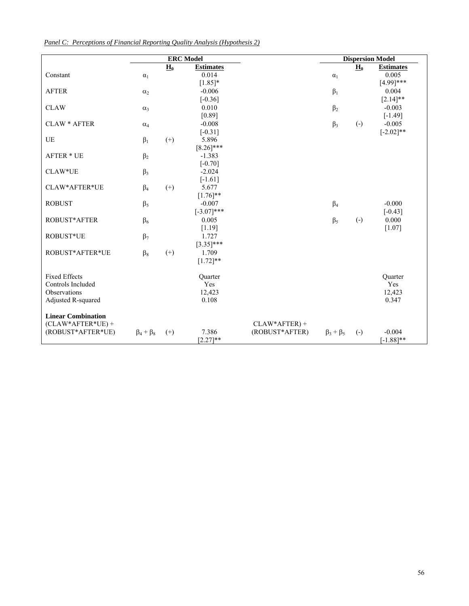| Panel C: Perceptions of Financial Reporting Ouality Analysis (Hypothesis 2) |  |  |
|-----------------------------------------------------------------------------|--|--|
|                                                                             |  |  |

|                           | <b>ERC</b> Model    |                            |                  |                 | <b>Dispersion Model</b> |                   |                  |  |
|---------------------------|---------------------|----------------------------|------------------|-----------------|-------------------------|-------------------|------------------|--|
|                           |                     | $\underline{\mathbf{H}}_0$ | <b>Estimates</b> |                 |                         | $\mathbf{H}_0$    | <b>Estimates</b> |  |
| Constant                  | $\alpha_1$          |                            | 0.014            |                 | $\alpha_1$              |                   | 0.005            |  |
|                           |                     |                            | $[1.85]*$        |                 |                         |                   | $[4.99]$ ***     |  |
| <b>AFTER</b>              | $\alpha_2$          |                            | $-0.006$         |                 | $\beta_1$               |                   | 0.004            |  |
|                           |                     |                            | $[-0.36]$        |                 |                         |                   | $[2.14]$ **      |  |
| <b>CLAW</b>               | $\alpha_3$          |                            | 0.010            |                 | $\beta_2$               |                   | $-0.003$         |  |
|                           |                     |                            | [0.89]           |                 |                         |                   | $[-1.49]$        |  |
| <b>CLAW * AFTER</b>       | $\alpha_4$          |                            | $-0.008$         |                 | $\beta_3$               | $\left( -\right)$ | $-0.005$         |  |
|                           |                     |                            | $[-0.31]$        |                 |                         |                   | $[-2.02]$ **     |  |
| UE                        | $\beta_1$           | $^{(+)}$                   | 5.896            |                 |                         |                   |                  |  |
|                           |                     |                            | $[8.26]$ ***     |                 |                         |                   |                  |  |
| <b>AFTER * UE</b>         | $\beta_2$           |                            | $-1.383$         |                 |                         |                   |                  |  |
|                           |                     |                            | $[-0.70]$        |                 |                         |                   |                  |  |
| CLAW*UE                   | $\beta_3$           |                            | $-2.024$         |                 |                         |                   |                  |  |
|                           |                     |                            | $[-1.61]$        |                 |                         |                   |                  |  |
| CLAW*AFTER*UE             | $\beta_4$           | $(+)$                      | 5.677            |                 |                         |                   |                  |  |
|                           |                     |                            | $[1.76]$ **      |                 |                         |                   |                  |  |
| <b>ROBUST</b>             | $\beta_5$           |                            | $-0.007$         |                 | $\beta_4$               |                   | $-0.000$         |  |
|                           |                     |                            | $[-3.07]$ ***    |                 |                         |                   | $[-0.43]$        |  |
| <b>ROBUST*AFTER</b>       | $\beta_6$           |                            | 0.005            |                 | $\beta_5$               | $\left( -\right)$ | 0.000            |  |
|                           |                     |                            | [1.19]           |                 |                         |                   | [1.07]           |  |
| ROBUST*UE                 | $\beta_7$           |                            | 1.727            |                 |                         |                   |                  |  |
|                           |                     |                            | $[3.35]$ ***     |                 |                         |                   |                  |  |
| ROBUST*AFTER*UE           | $\beta_8$           | $(+)$                      | 1.709            |                 |                         |                   |                  |  |
|                           |                     |                            | $[1.72]$ **      |                 |                         |                   |                  |  |
|                           |                     |                            |                  |                 |                         |                   |                  |  |
| <b>Fixed Effects</b>      |                     |                            | Ouarter          |                 |                         |                   | Ouarter          |  |
| Controls Included         |                     |                            | Yes              |                 |                         |                   | Yes              |  |
| Observations              |                     |                            | 12,423           |                 |                         |                   | 12,423           |  |
| Adjusted R-squared        |                     |                            | 0.108            |                 |                         |                   | 0.347            |  |
|                           |                     |                            |                  |                 |                         |                   |                  |  |
| <b>Linear Combination</b> |                     |                            |                  |                 |                         |                   |                  |  |
| $(CLAW*AFTER*UE) +$       |                     |                            |                  | $CLAW*AFTER) +$ |                         |                   |                  |  |
| (ROBUST*AFTER*UE)         | $\beta_4 + \beta_8$ | $(+)$                      | 7.386            | (ROBUST*AFTER)  | $\beta_3 + \beta_5$     | $\left( -\right)$ | $-0.004$         |  |
|                           |                     |                            | $[2.27]**$       |                 |                         |                   | $[-1.88]$ **     |  |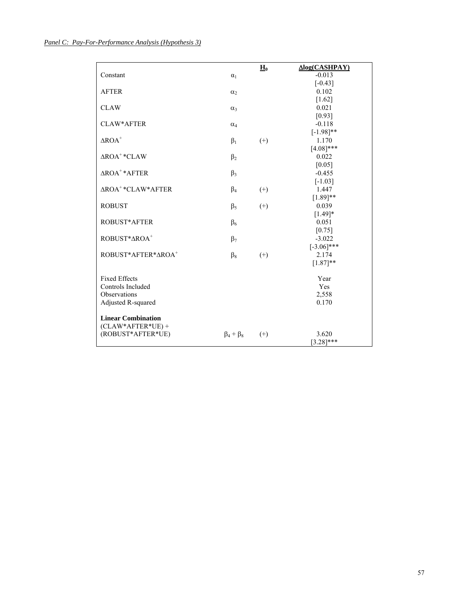|                                     |                     | $H_0$    | Δlog(CASHPAY)         |
|-------------------------------------|---------------------|----------|-----------------------|
| Constant                            | $\alpha_1$          |          | $-0.013$<br>$[-0.43]$ |
| <b>AFTER</b>                        |                     |          | 0.102                 |
|                                     | $\alpha_2$          |          | $[1.62]$              |
| <b>CLAW</b>                         | $\alpha_3$          |          | 0.021                 |
|                                     |                     |          | [0.93]                |
| CLAW*AFTER                          | $\alpha_4$          |          | $-0.118$              |
|                                     |                     |          | $[-1.98]$ **          |
| $\Delta \text{ROA}^+$               | $\beta_1$           | $^{(+)}$ | 1.170                 |
|                                     |                     |          | $[4.08]$ ***          |
| $\triangle$ ROA <sup>+</sup> *CLAW  | $\beta_2$           |          | 0.022                 |
|                                     |                     |          | [0.05]                |
| $\triangle$ ROA <sup>+</sup> *AFTER | $\beta_3$           |          | $-0.455$              |
|                                     |                     |          | $[-1.03]$             |
| ΔROA <sup>+</sup> *CLAW*AFTER       | $\beta_4$           | $^{(+)}$ | 1.447                 |
|                                     |                     |          | $[1.89]$ **           |
| <b>ROBUST</b>                       | $\beta_5$           | $^{(+)}$ | 0.039                 |
|                                     |                     |          | $[1.49]*$             |
| ROBUST*AFTER                        | $\beta_6$           |          | 0.051                 |
|                                     |                     |          | [0.75]                |
| ROBUST*AROA+                        | $\beta_7$           |          | $-3.022$              |
|                                     |                     |          | $[-3.06]$ ***         |
| ROBUST*AFTER*AROA <sup>+</sup>      | $\beta_8$           | $^{(+)}$ | 2.174                 |
|                                     |                     |          | $[1.87]**$            |
| <b>Fixed Effects</b>                |                     |          | Year                  |
| Controls Included                   |                     |          | Yes                   |
| Observations                        |                     |          | 2,558                 |
| Adjusted R-squared                  |                     |          | 0.170                 |
|                                     |                     |          |                       |
| <b>Linear Combination</b>           |                     |          |                       |
| $(CLAW*AFTER*UE) +$                 |                     |          |                       |
| (ROBUST*AFTER*UE)                   | $\beta_4 + \beta_8$ | $^{(+)}$ | 3.620                 |
|                                     |                     |          | $[3.28]$ ***          |